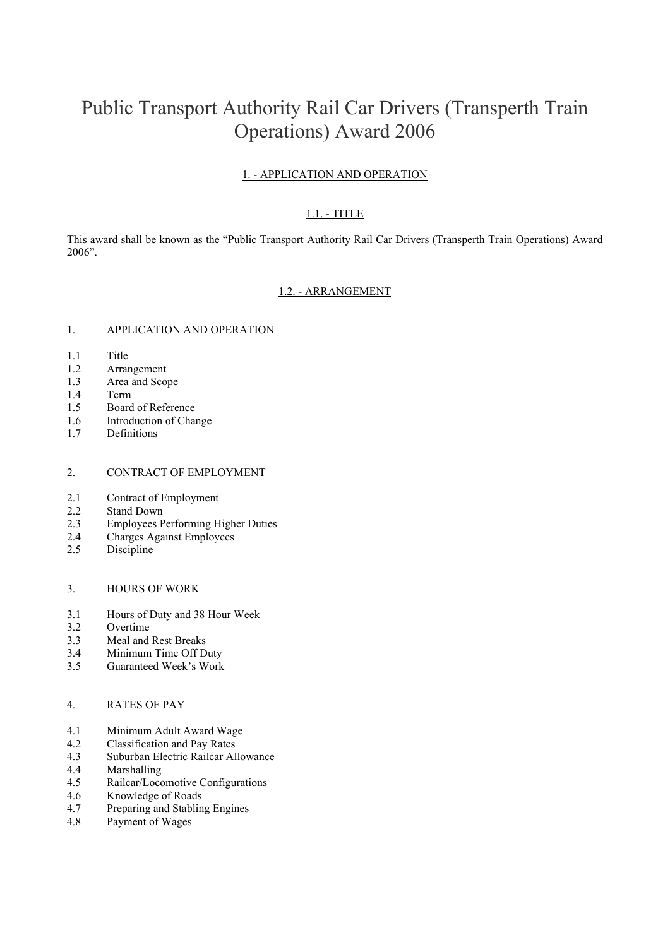# Public Transport Authority Rail Car Drivers (Transperth Train Operations) Award 2006

## 1. - APPLICATION AND OPERATION

## 1.1. - TITLE

This award shall be known as the "Public Transport Authority Rail Car Drivers (Transperth Train Operations) Award 2006".

#### 1.2. - ARRANGEMENT

## 1. APPLICATION AND OPERATION

- 1.1 Title
- 1.2 Arrangement
- 1.3 Area and Scope
- 1.4 Term
- 1.5 Board of Reference
- 1.6 Introduction of Change
- 1.7 Definitions

#### 2. CONTRACT OF EMPLOYMENT

- 2.1 Contract of Employment
- 2.2 Stand Down
- 2.3 Employees Performing Higher Duties
- 2.4 Charges Against Employees
- 2.5 Discipline

### 3. HOURS OF WORK

- 3.1 Hours of Duty and 38 Hour Week
- 3.2 Overtime
- 3.3 Meal and Rest Breaks
- 3.4 Minimum Time Off Duty
- 3.5 Guaranteed Week's Work

#### 4. RATES OF PAY

- 4.1 Minimum Adult Award Wage
- 4.2 Classification and Pay Rates
- 4.3 Suburban Electric Railcar Allowance
- 4.4 Marshalling
- 4.5 Railcar/Locomotive Configurations
- 4.6 Knowledge of Roads
- 4.7 Preparing and Stabling Engines
- 4.8 Payment of Wages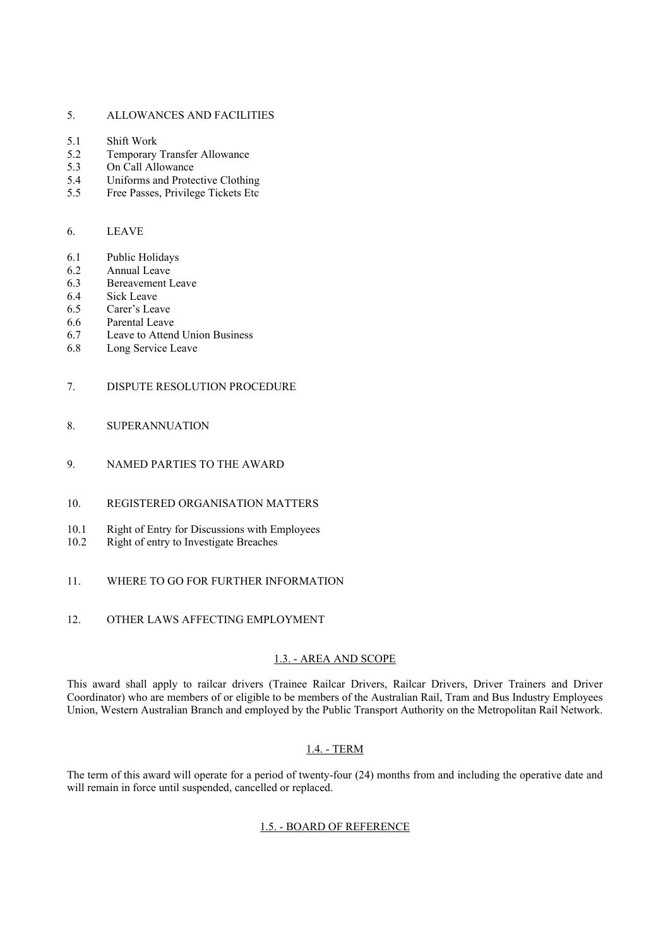#### 5. ALLOWANCES AND FACILITIES

- 5.1 Shift Work
- 5.2 Temporary Transfer Allowance
- 5.3 On Call Allowance
- 5.4 Uniforms and Protective Clothing
- 5.5 Free Passes, Privilege Tickets Etc

### 6. LEAVE

- 6.1 Public Holidays
- 6.2 Annual Leave
- 6.3 Bereavement Leave
- 6.4 Sick Leave
- 6.5 Carer's Leave
- 6.6 Parental Leave
- 6.7 Leave to Attend Union Business
- 6.8 Long Service Leave

#### 7. DISPUTE RESOLUTION PROCEDURE

- 8. SUPERANNUATION
- 9. NAMED PARTIES TO THE AWARD
- 10. REGISTERED ORGANISATION MATTERS
- 10.1 Right of Entry for Discussions with Employees
- 10.2 Right of entry to Investigate Breaches
- 11. WHERE TO GO FOR FURTHER INFORMATION
- 12. OTHER LAWS AFFECTING EMPLOYMENT

## 1.3. - AREA AND SCOPE

This award shall apply to railcar drivers (Trainee Railcar Drivers, Railcar Drivers, Driver Trainers and Driver Coordinator) who are members of or eligible to be members of the Australian Rail, Tram and Bus Industry Employees Union, Western Australian Branch and employed by the Public Transport Authority on the Metropolitan Rail Network.

### 1.4. - TERM

The term of this award will operate for a period of twenty-four (24) months from and including the operative date and will remain in force until suspended, cancelled or replaced.

#### 1.5. - BOARD OF REFERENCE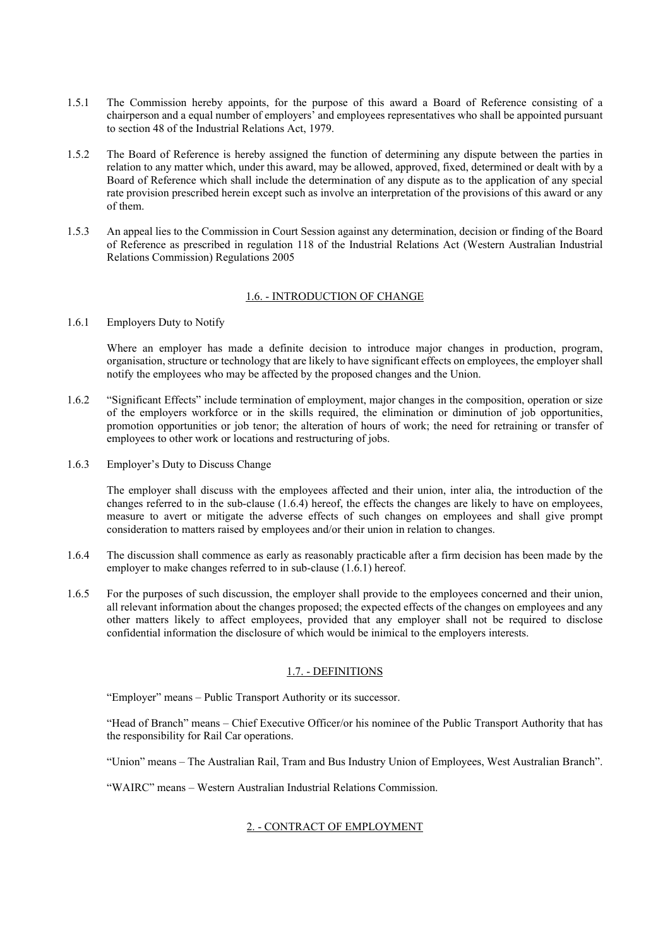- 1.5.1 The Commission hereby appoints, for the purpose of this award a Board of Reference consisting of a chairperson and a equal number of employers' and employees representatives who shall be appointed pursuant to section 48 of the Industrial Relations Act, 1979.
- 1.5.2 The Board of Reference is hereby assigned the function of determining any dispute between the parties in relation to any matter which, under this award, may be allowed, approved, fixed, determined or dealt with by a Board of Reference which shall include the determination of any dispute as to the application of any special rate provision prescribed herein except such as involve an interpretation of the provisions of this award or any of them.
- 1.5.3 An appeal lies to the Commission in Court Session against any determination, decision or finding of the Board of Reference as prescribed in regulation 118 of the Industrial Relations Act (Western Australian Industrial Relations Commission) Regulations 2005

## 1.6. - INTRODUCTION OF CHANGE

1.6.1 Employers Duty to Notify

Where an employer has made a definite decision to introduce major changes in production, program, organisation, structure or technology that are likely to have significant effects on employees, the employer shall notify the employees who may be affected by the proposed changes and the Union.

- 1.6.2 "Significant Effects" include termination of employment, major changes in the composition, operation or size of the employers workforce or in the skills required, the elimination or diminution of job opportunities, promotion opportunities or job tenor; the alteration of hours of work; the need for retraining or transfer of employees to other work or locations and restructuring of jobs.
- 1.6.3 Employer's Duty to Discuss Change

The employer shall discuss with the employees affected and their union, inter alia, the introduction of the changes referred to in the sub-clause (1.6.4) hereof, the effects the changes are likely to have on employees, measure to avert or mitigate the adverse effects of such changes on employees and shall give prompt consideration to matters raised by employees and/or their union in relation to changes.

- 1.6.4 The discussion shall commence as early as reasonably practicable after a firm decision has been made by the employer to make changes referred to in sub-clause (1.6.1) hereof.
- 1.6.5 For the purposes of such discussion, the employer shall provide to the employees concerned and their union, all relevant information about the changes proposed; the expected effects of the changes on employees and any other matters likely to affect employees, provided that any employer shall not be required to disclose confidential information the disclosure of which would be inimical to the employers interests.

#### 1.7. - DEFINITIONS

"Employer" means – Public Transport Authority or its successor.

"Head of Branch" means – Chief Executive Officer/or his nominee of the Public Transport Authority that has the responsibility for Rail Car operations.

"Union" means – The Australian Rail, Tram and Bus Industry Union of Employees, West Australian Branch".

"WAIRC" means – Western Australian Industrial Relations Commission.

## 2. - CONTRACT OF EMPLOYMENT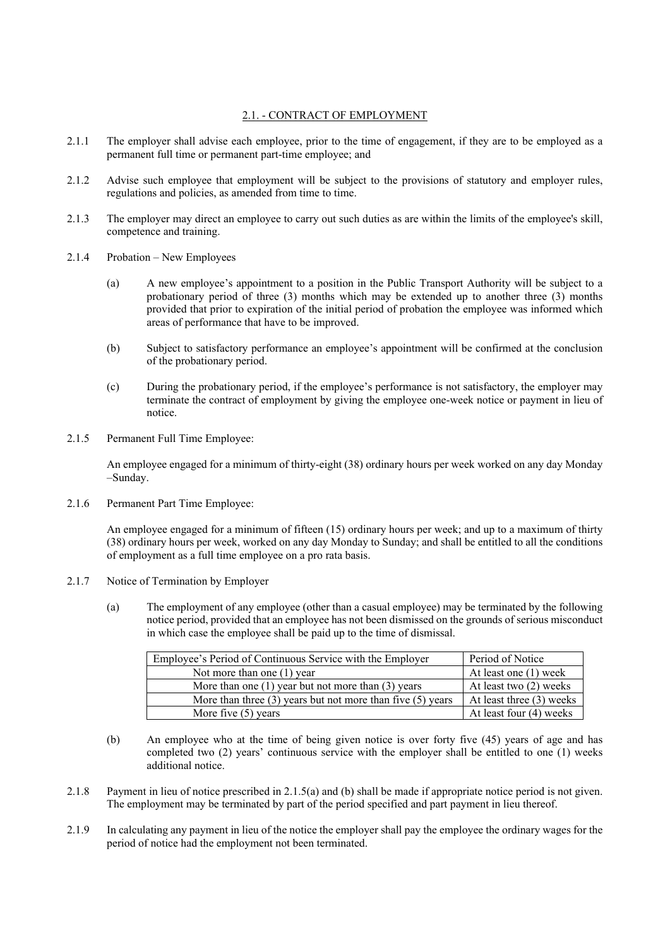## 2.1. - CONTRACT OF EMPLOYMENT

- 2.1.1 The employer shall advise each employee, prior to the time of engagement, if they are to be employed as a permanent full time or permanent part-time employee; and
- 2.1.2 Advise such employee that employment will be subject to the provisions of statutory and employer rules, regulations and policies, as amended from time to time.
- 2.1.3 The employer may direct an employee to carry out such duties as are within the limits of the employee's skill, competence and training.
- 2.1.4 Probation New Employees
	- (a) A new employee's appointment to a position in the Public Transport Authority will be subject to a probationary period of three (3) months which may be extended up to another three (3) months provided that prior to expiration of the initial period of probation the employee was informed which areas of performance that have to be improved.
	- (b) Subject to satisfactory performance an employee's appointment will be confirmed at the conclusion of the probationary period.
	- (c) During the probationary period, if the employee's performance is not satisfactory, the employer may terminate the contract of employment by giving the employee one-week notice or payment in lieu of notice.
- 2.1.5 Permanent Full Time Employee:

An employee engaged for a minimum of thirty-eight (38) ordinary hours per week worked on any day Monday –Sunday.

2.1.6 Permanent Part Time Employee:

An employee engaged for a minimum of fifteen (15) ordinary hours per week; and up to a maximum of thirty (38) ordinary hours per week, worked on any day Monday to Sunday; and shall be entitled to all the conditions of employment as a full time employee on a pro rata basis.

- 2.1.7 Notice of Termination by Employer
	- (a) The employment of any employee (other than a casual employee) may be terminated by the following notice period, provided that an employee has not been dismissed on the grounds of serious misconduct in which case the employee shall be paid up to the time of dismissal.

| Employee's Period of Continuous Service with the Employer      | Period of Notice         |
|----------------------------------------------------------------|--------------------------|
| Not more than one $(1)$ year                                   | At least one (1) week    |
| More than one $(1)$ year but not more than $(3)$ years         | At least two (2) weeks   |
| More than three $(3)$ years but not more than five $(5)$ years | At least three (3) weeks |
| More five $(5)$ years                                          | At least four (4) weeks  |

- (b) An employee who at the time of being given notice is over forty five (45) years of age and has completed two (2) years' continuous service with the employer shall be entitled to one (1) weeks additional notice.
- 2.1.8 Payment in lieu of notice prescribed in 2.1.5(a) and (b) shall be made if appropriate notice period is not given. The employment may be terminated by part of the period specified and part payment in lieu thereof.
- 2.1.9 In calculating any payment in lieu of the notice the employer shall pay the employee the ordinary wages for the period of notice had the employment not been terminated.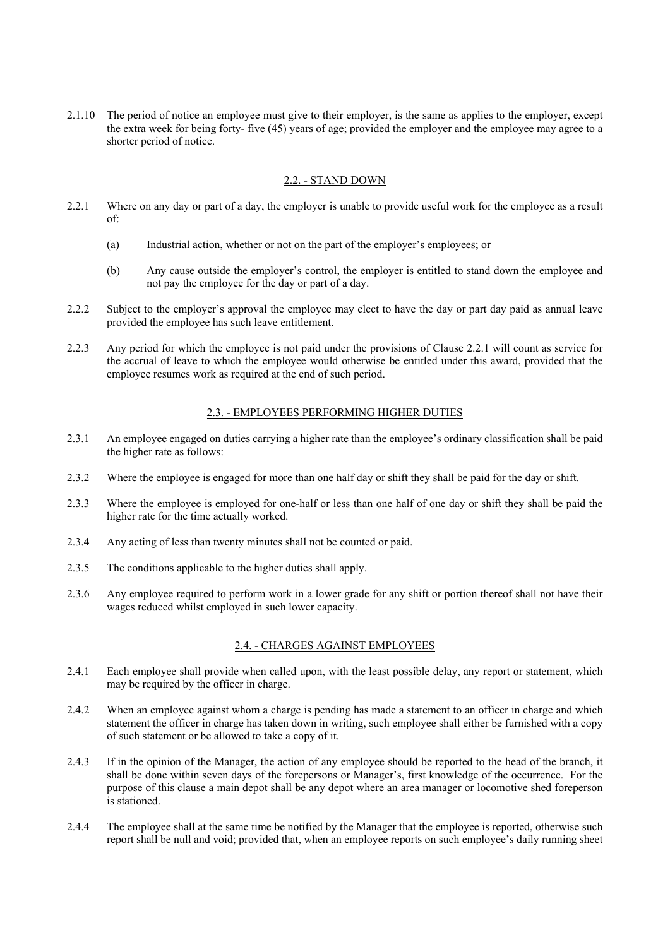2.1.10 The period of notice an employee must give to their employer, is the same as applies to the employer, except the extra week for being forty- five (45) years of age; provided the employer and the employee may agree to a shorter period of notice.

#### 2.2. - STAND DOWN

- 2.2.1 Where on any day or part of a day, the employer is unable to provide useful work for the employee as a result of:
	- (a) Industrial action, whether or not on the part of the employer's employees; or
	- (b) Any cause outside the employer's control, the employer is entitled to stand down the employee and not pay the employee for the day or part of a day.
- 2.2.2. Subject to the employer's approval the employee may elect to have the day or part day paid as annual leave provided the employee has such leave entitlement.
- 2.2.3 Any period for which the employee is not paid under the provisions of Clause 2.2.1 will count as service for the accrual of leave to which the employee would otherwise be entitled under this award, provided that the employee resumes work as required at the end of such period.

#### 2.3. - EMPLOYEES PERFORMING HIGHER DUTIES

- 2.3.1 An employee engaged on duties carrying a higher rate than the employee's ordinary classification shall be paid the higher rate as follows:
- 2.3.2 Where the employee is engaged for more than one half day or shift they shall be paid for the day or shift.
- 2.3.3 Where the employee is employed for one-half or less than one half of one day or shift they shall be paid the higher rate for the time actually worked.
- 2.3.4 Any acting of less than twenty minutes shall not be counted or paid.
- 2.3.5 The conditions applicable to the higher duties shall apply.
- 2.3.6 Any employee required to perform work in a lower grade for any shift or portion thereof shall not have their wages reduced whilst employed in such lower capacity.

#### 2.4. - CHARGES AGAINST EMPLOYEES

- 2.4.1 Each employee shall provide when called upon, with the least possible delay, any report or statement, which may be required by the officer in charge.
- 2.4.2 When an employee against whom a charge is pending has made a statement to an officer in charge and which statement the officer in charge has taken down in writing, such employee shall either be furnished with a copy of such statement or be allowed to take a copy of it.
- 2.4.3 If in the opinion of the Manager, the action of any employee should be reported to the head of the branch, it shall be done within seven days of the forepersons or Manager's, first knowledge of the occurrence. For the purpose of this clause a main depot shall be any depot where an area manager or locomotive shed foreperson is stationed.
- 2.4.4 The employee shall at the same time be notified by the Manager that the employee is reported, otherwise such report shall be null and void; provided that, when an employee reports on such employee's daily running sheet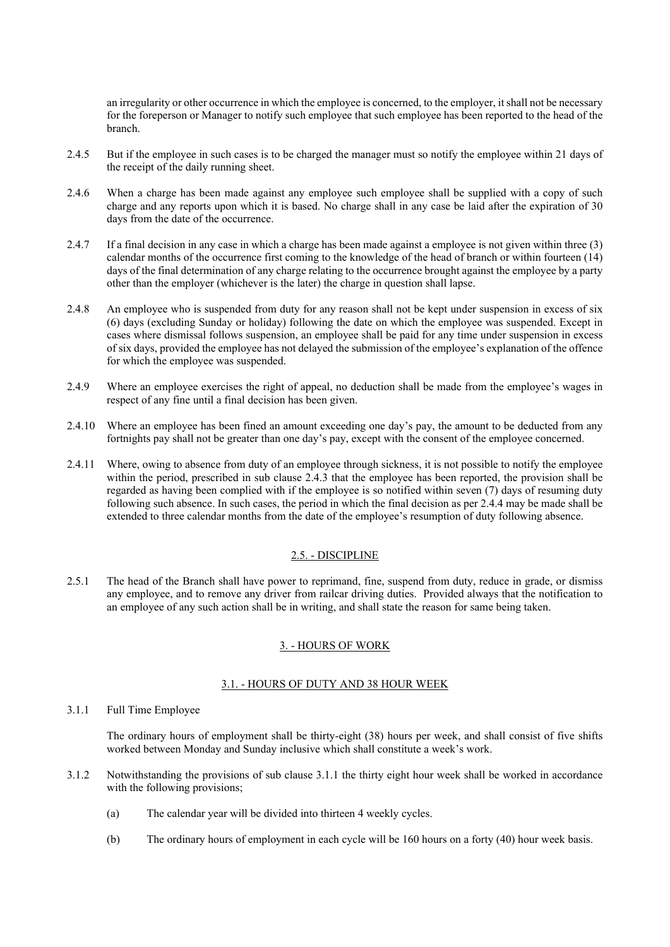an irregularity or other occurrence in which the employee is concerned, to the employer, it shall not be necessary for the foreperson or Manager to notify such employee that such employee has been reported to the head of the branch.

- 2.4.5 But if the employee in such cases is to be charged the manager must so notify the employee within 21 days of the receipt of the daily running sheet.
- 2.4.6 When a charge has been made against any employee such employee shall be supplied with a copy of such charge and any reports upon which it is based. No charge shall in any case be laid after the expiration of 30 days from the date of the occurrence.
- 2.4.7 If a final decision in any case in which a charge has been made against a employee is not given within three (3) calendar months of the occurrence first coming to the knowledge of the head of branch or within fourteen (14) days of the final determination of any charge relating to the occurrence brought against the employee by a party other than the employer (whichever is the later) the charge in question shall lapse.
- 2.4.8 An employee who is suspended from duty for any reason shall not be kept under suspension in excess of six (6) days (excluding Sunday or holiday) following the date on which the employee was suspended. Except in cases where dismissal follows suspension, an employee shall be paid for any time under suspension in excess of six days, provided the employee has not delayed the submission of the employee's explanation of the offence for which the employee was suspended.
- 2.4.9 Where an employee exercises the right of appeal, no deduction shall be made from the employee's wages in respect of any fine until a final decision has been given.
- 2.4.10 Where an employee has been fined an amount exceeding one day's pay, the amount to be deducted from any fortnights pay shall not be greater than one day's pay, except with the consent of the employee concerned.
- 2.4.11 Where, owing to absence from duty of an employee through sickness, it is not possible to notify the employee within the period, prescribed in sub clause 2.4.3 that the employee has been reported, the provision shall be regarded as having been complied with if the employee is so notified within seven (7) days of resuming duty following such absence. In such cases, the period in which the final decision as per 2.4.4 may be made shall be extended to three calendar months from the date of the employee's resumption of duty following absence.

## 2.5. - DISCIPLINE

2.5.1 The head of the Branch shall have power to reprimand, fine, suspend from duty, reduce in grade, or dismiss any employee, and to remove any driver from railcar driving duties. Provided always that the notification to an employee of any such action shall be in writing, and shall state the reason for same being taken.

#### 3. - HOURS OF WORK

#### 3.1. - HOURS OF DUTY AND 38 HOUR WEEK

3.1.1 Full Time Employee

The ordinary hours of employment shall be thirty-eight (38) hours per week, and shall consist of five shifts worked between Monday and Sunday inclusive which shall constitute a week's work.

- 3.1.2 Notwithstanding the provisions of sub clause 3.1.1 the thirty eight hour week shall be worked in accordance with the following provisions;
	- (a) The calendar year will be divided into thirteen 4 weekly cycles.
	- (b) The ordinary hours of employment in each cycle will be 160 hours on a forty (40) hour week basis.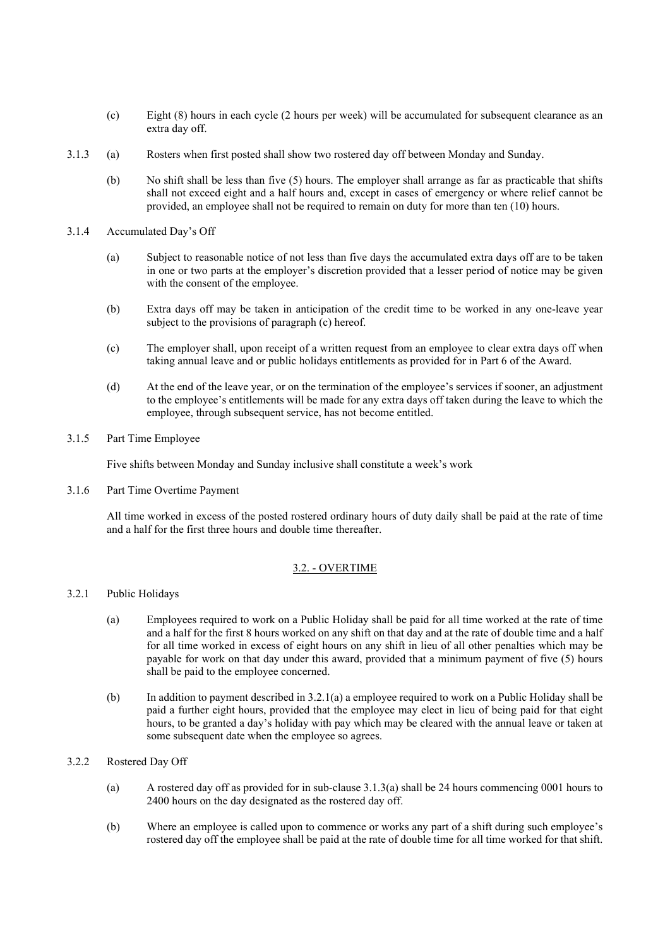- (c) Eight (8) hours in each cycle (2 hours per week) will be accumulated for subsequent clearance as an extra day off.
- 3.1.3 (a) Rosters when first posted shall show two rostered day off between Monday and Sunday.
	- (b) No shift shall be less than five (5) hours. The employer shall arrange as far as practicable that shifts shall not exceed eight and a half hours and, except in cases of emergency or where relief cannot be provided, an employee shall not be required to remain on duty for more than ten (10) hours.
- 3.1.4 Accumulated Day's Off
	- (a) Subject to reasonable notice of not less than five days the accumulated extra days off are to be taken in one or two parts at the employer's discretion provided that a lesser period of notice may be given with the consent of the employee.
	- (b) Extra days off may be taken in anticipation of the credit time to be worked in any one-leave year subject to the provisions of paragraph (c) hereof.
	- (c) The employer shall, upon receipt of a written request from an employee to clear extra days off when taking annual leave and or public holidays entitlements as provided for in Part 6 of the Award.
	- (d) At the end of the leave year, or on the termination of the employee's services if sooner, an adjustment to the employee's entitlements will be made for any extra days off taken during the leave to which the employee, through subsequent service, has not become entitled.

#### 3.1.5 Part Time Employee

Five shifts between Monday and Sunday inclusive shall constitute a week's work

3.1.6 Part Time Overtime Payment

All time worked in excess of the posted rostered ordinary hours of duty daily shall be paid at the rate of time and a half for the first three hours and double time thereafter.

#### 3.2. - OVERTIME

#### 3.2.1 Public Holidays

- (a) Employees required to work on a Public Holiday shall be paid for all time worked at the rate of time and a half for the first 8 hours worked on any shift on that day and at the rate of double time and a half for all time worked in excess of eight hours on any shift in lieu of all other penalties which may be payable for work on that day under this award, provided that a minimum payment of five (5) hours shall be paid to the employee concerned.
- (b) In addition to payment described in 3.2.1(a) a employee required to work on a Public Holiday shall be paid a further eight hours, provided that the employee may elect in lieu of being paid for that eight hours, to be granted a day's holiday with pay which may be cleared with the annual leave or taken at some subsequent date when the employee so agrees.

## 3.2.2 Rostered Day Off

- (a) A rostered day off as provided for in sub-clause 3.1.3(a) shall be 24 hours commencing 0001 hours to 2400 hours on the day designated as the rostered day off.
- (b) Where an employee is called upon to commence or works any part of a shift during such employee's rostered day off the employee shall be paid at the rate of double time for all time worked for that shift.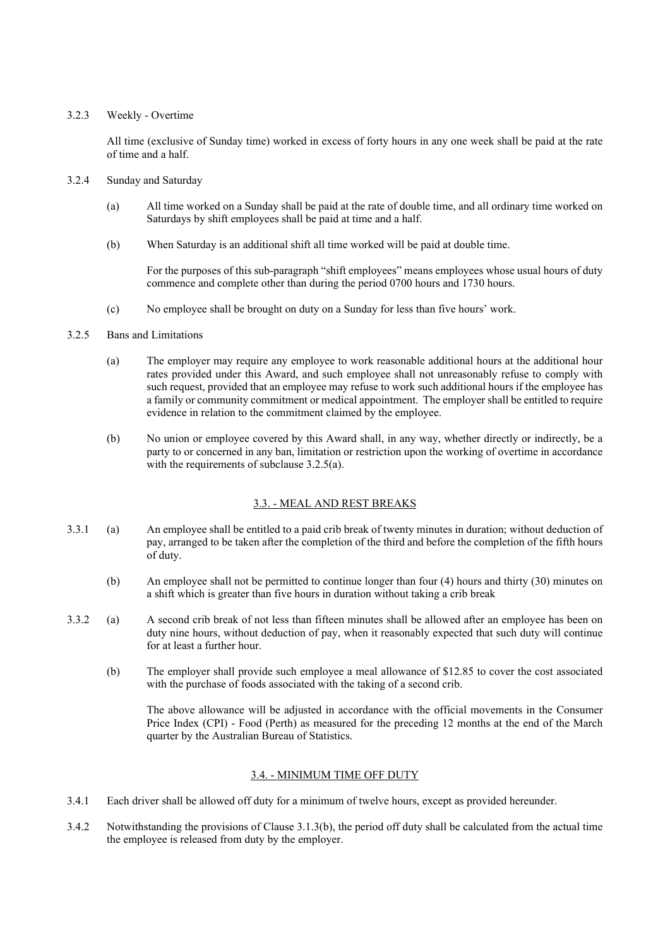## 3.2.3 Weekly - Overtime

All time (exclusive of Sunday time) worked in excess of forty hours in any one week shall be paid at the rate of time and a half.

- 3.2.4 Sunday and Saturday
	- (a) All time worked on a Sunday shall be paid at the rate of double time, and all ordinary time worked on Saturdays by shift employees shall be paid at time and a half.
	- (b) When Saturday is an additional shift all time worked will be paid at double time.

For the purposes of this sub-paragraph "shift employees" means employees whose usual hours of duty commence and complete other than during the period 0700 hours and 1730 hours.

(c) No employee shall be brought on duty on a Sunday for less than five hours' work.

## 3.2.5 Bans and Limitations

- (a) The employer may require any employee to work reasonable additional hours at the additional hour rates provided under this Award, and such employee shall not unreasonably refuse to comply with such request, provided that an employee may refuse to work such additional hours if the employee has a family or community commitment or medical appointment. The employer shall be entitled to require evidence in relation to the commitment claimed by the employee.
- (b) No union or employee covered by this Award shall, in any way, whether directly or indirectly, be a party to or concerned in any ban, limitation or restriction upon the working of overtime in accordance with the requirements of subclause 3.2.5(a).

## 3.3. - MEAL AND REST BREAKS

- 3.3.1 (a) An employee shall be entitled to a paid crib break of twenty minutes in duration; without deduction of pay, arranged to be taken after the completion of the third and before the completion of the fifth hours of duty.
	- (b) An employee shall not be permitted to continue longer than four (4) hours and thirty (30) minutes on a shift which is greater than five hours in duration without taking a crib break
- 3.3.2 (a) A second crib break of not less than fifteen minutes shall be allowed after an employee has been on duty nine hours, without deduction of pay, when it reasonably expected that such duty will continue for at least a further hour.
	- (b) The employer shall provide such employee a meal allowance of \$12.85 to cover the cost associated with the purchase of foods associated with the taking of a second crib.

The above allowance will be adjusted in accordance with the official movements in the Consumer Price Index (CPI) - Food (Perth) as measured for the preceding 12 months at the end of the March quarter by the Australian Bureau of Statistics.

## 3.4. - MINIMUM TIME OFF DUTY

- 3.4.1 Each driver shall be allowed off duty for a minimum of twelve hours, except as provided hereunder.
- 3.4.2 Notwithstanding the provisions of Clause 3.1.3(b), the period off duty shall be calculated from the actual time the employee is released from duty by the employer.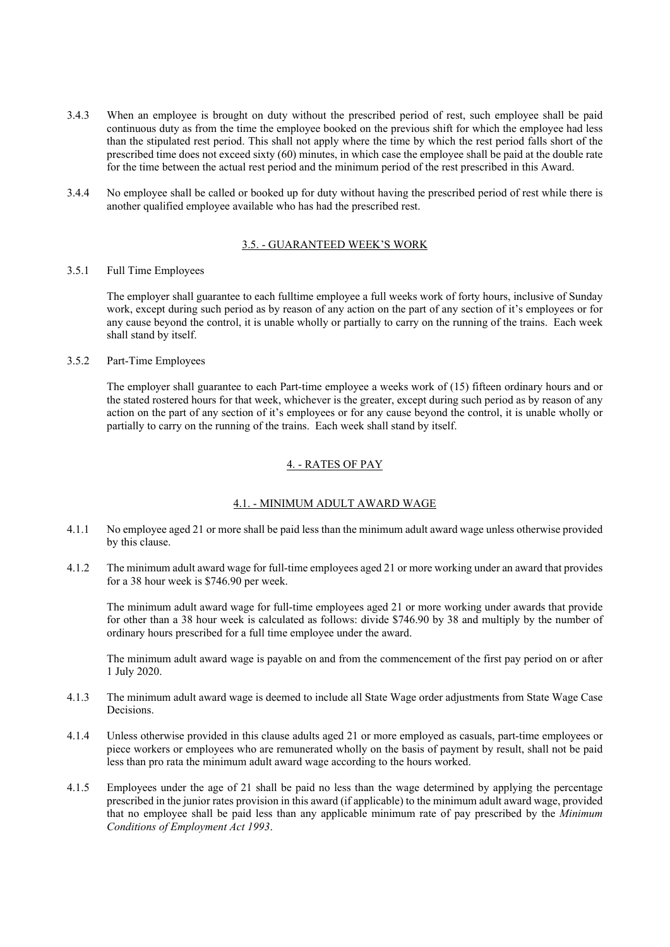- 3.4.3 When an employee is brought on duty without the prescribed period of rest, such employee shall be paid continuous duty as from the time the employee booked on the previous shift for which the employee had less than the stipulated rest period. This shall not apply where the time by which the rest period falls short of the prescribed time does not exceed sixty (60) minutes, in which case the employee shall be paid at the double rate for the time between the actual rest period and the minimum period of the rest prescribed in this Award.
- 3.4.4 No employee shall be called or booked up for duty without having the prescribed period of rest while there is another qualified employee available who has had the prescribed rest.

## 3.5. - GUARANTEED WEEK'S WORK

#### 3.5.1 Full Time Employees

The employer shall guarantee to each fulltime employee a full weeks work of forty hours, inclusive of Sunday work, except during such period as by reason of any action on the part of any section of it's employees or for any cause beyond the control, it is unable wholly or partially to carry on the running of the trains. Each week shall stand by itself.

#### 3.5.2 Part-Time Employees

The employer shall guarantee to each Part-time employee a weeks work of (15) fifteen ordinary hours and or the stated rostered hours for that week, whichever is the greater, except during such period as by reason of any action on the part of any section of it's employees or for any cause beyond the control, it is unable wholly or partially to carry on the running of the trains. Each week shall stand by itself.

## 4. - RATES OF PAY

#### 4.1. - MINIMUM ADULT AWARD WAGE

- 4.1.1 No employee aged 21 or more shall be paid less than the minimum adult award wage unless otherwise provided by this clause.
- 4.1.2 The minimum adult award wage for full-time employees aged 21 or more working under an award that provides for a 38 hour week is \$746.90 per week.

The minimum adult award wage for full-time employees aged 21 or more working under awards that provide for other than a 38 hour week is calculated as follows: divide \$746.90 by 38 and multiply by the number of ordinary hours prescribed for a full time employee under the award.

The minimum adult award wage is payable on and from the commencement of the first pay period on or after 1 July 2020.

- 4.1.3 The minimum adult award wage is deemed to include all State Wage order adjustments from State Wage Case Decisions.
- 4.1.4 Unless otherwise provided in this clause adults aged 21 or more employed as casuals, part-time employees or piece workers or employees who are remunerated wholly on the basis of payment by result, shall not be paid less than pro rata the minimum adult award wage according to the hours worked.
- 4.1.5 Employees under the age of 21 shall be paid no less than the wage determined by applying the percentage prescribed in the junior rates provision in this award (if applicable) to the minimum adult award wage, provided that no employee shall be paid less than any applicable minimum rate of pay prescribed by the *Minimum Conditions of Employment Act 1993*.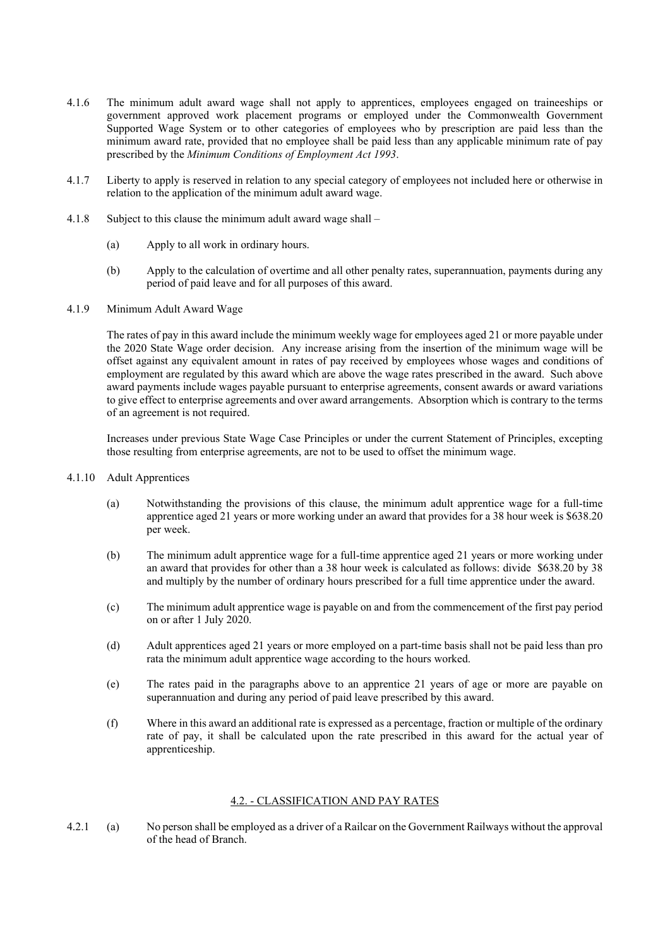- 4.1.6 The minimum adult award wage shall not apply to apprentices, employees engaged on traineeships or government approved work placement programs or employed under the Commonwealth Government Supported Wage System or to other categories of employees who by prescription are paid less than the minimum award rate, provided that no employee shall be paid less than any applicable minimum rate of pay prescribed by the *Minimum Conditions of Employment Act 1993*.
- 4.1.7 Liberty to apply is reserved in relation to any special category of employees not included here or otherwise in relation to the application of the minimum adult award wage.
- 4.1.8 Subject to this clause the minimum adult award wage shall
	- (a) Apply to all work in ordinary hours.
	- (b) Apply to the calculation of overtime and all other penalty rates, superannuation, payments during any period of paid leave and for all purposes of this award.
- 4.1.9 Minimum Adult Award Wage

The rates of pay in this award include the minimum weekly wage for employees aged 21 or more payable under the 2020 State Wage order decision. Any increase arising from the insertion of the minimum wage will be offset against any equivalent amount in rates of pay received by employees whose wages and conditions of employment are regulated by this award which are above the wage rates prescribed in the award. Such above award payments include wages payable pursuant to enterprise agreements, consent awards or award variations to give effect to enterprise agreements and over award arrangements. Absorption which is contrary to the terms of an agreement is not required.

Increases under previous State Wage Case Principles or under the current Statement of Principles, excepting those resulting from enterprise agreements, are not to be used to offset the minimum wage.

- 4.1.10 Adult Apprentices
	- (a) Notwithstanding the provisions of this clause, the minimum adult apprentice wage for a full-time apprentice aged 21 years or more working under an award that provides for a 38 hour week is \$638.20 per week.
	- (b) The minimum adult apprentice wage for a full-time apprentice aged 21 years or more working under an award that provides for other than a 38 hour week is calculated as follows: divide \$638.20 by 38 and multiply by the number of ordinary hours prescribed for a full time apprentice under the award.
	- (c) The minimum adult apprentice wage is payable on and from the commencement of the first pay period on or after 1 July 2020.
	- (d) Adult apprentices aged 21 years or more employed on a part-time basis shall not be paid less than pro rata the minimum adult apprentice wage according to the hours worked.
	- (e) The rates paid in the paragraphs above to an apprentice 21 years of age or more are payable on superannuation and during any period of paid leave prescribed by this award.
	- (f) Where in this award an additional rate is expressed as a percentage, fraction or multiple of the ordinary rate of pay, it shall be calculated upon the rate prescribed in this award for the actual year of apprenticeship.

#### 4.2. - CLASSIFICATION AND PAY RATES

4.2.1 (a) No person shall be employed as a driver of a Railcar on the Government Railways without the approval of the head of Branch.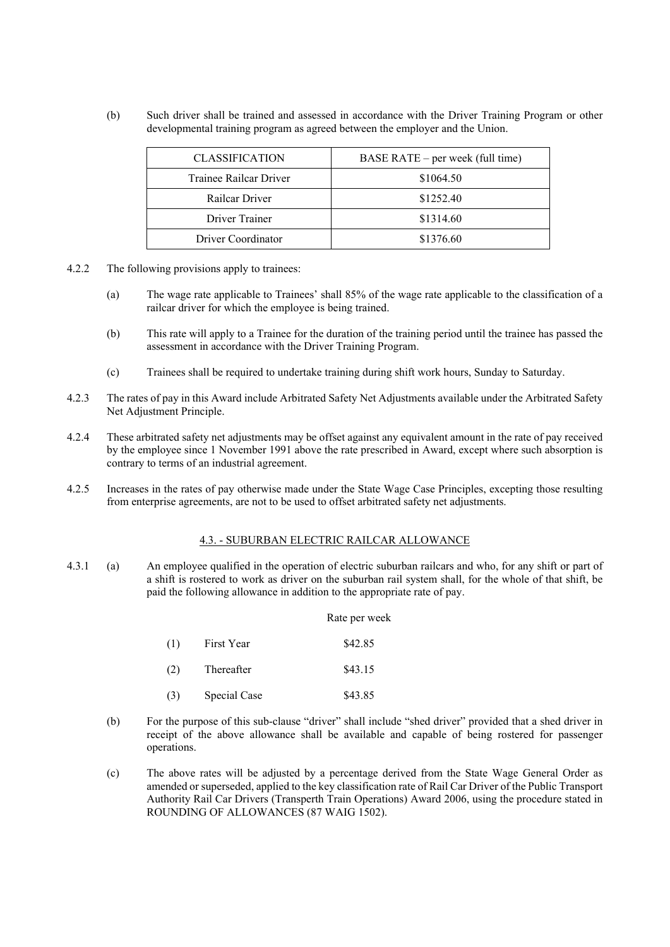(b) Such driver shall be trained and assessed in accordance with the Driver Training Program or other developmental training program as agreed between the employer and the Union.

| <b>CLASSIFICATION</b>  | BASE RATE $-$ per week (full time) |  |
|------------------------|------------------------------------|--|
| Trainee Railcar Driver | \$1064.50                          |  |
| Railcar Driver         | \$1252.40                          |  |
| Driver Trainer         | \$1314.60                          |  |
| Driver Coordinator     | \$1376.60                          |  |

- 4.2.2 The following provisions apply to trainees:
	- (a) The wage rate applicable to Trainees' shall 85% of the wage rate applicable to the classification of a railcar driver for which the employee is being trained.
	- (b) This rate will apply to a Trainee for the duration of the training period until the trainee has passed the assessment in accordance with the Driver Training Program.
	- (c) Trainees shall be required to undertake training during shift work hours, Sunday to Saturday.
- 4.2.3 The rates of pay in this Award include Arbitrated Safety Net Adjustments available under the Arbitrated Safety Net Adjustment Principle.
- 4.2.4 These arbitrated safety net adjustments may be offset against any equivalent amount in the rate of pay received by the employee since 1 November 1991 above the rate prescribed in Award, except where such absorption is contrary to terms of an industrial agreement.
- 4.2.5 Increases in the rates of pay otherwise made under the State Wage Case Principles, excepting those resulting from enterprise agreements, are not to be used to offset arbitrated safety net adjustments.

#### 4.3. - SUBURBAN ELECTRIC RAILCAR ALLOWANCE

4.3.1 (a) An employee qualified in the operation of electric suburban railcars and who, for any shift or part of a shift is rostered to work as driver on the suburban rail system shall, for the whole of that shift, be paid the following allowance in addition to the appropriate rate of pay.

#### Rate per week

| (1) | First Year   | \$42.85 |
|-----|--------------|---------|
| (2) | Thereafter   | \$43.15 |
| (3) | Special Case | \$43.85 |

- (b) For the purpose of this sub-clause "driver" shall include "shed driver" provided that a shed driver in receipt of the above allowance shall be available and capable of being rostered for passenger operations.
- (c) The above rates will be adjusted by a percentage derived from the State Wage General Order as amended or superseded, applied to the key classification rate of Rail Car Driver of the Public Transport Authority Rail Car Drivers (Transperth Train Operations) Award 2006, using the procedure stated in ROUNDING OF ALLOWANCES (87 WAIG 1502).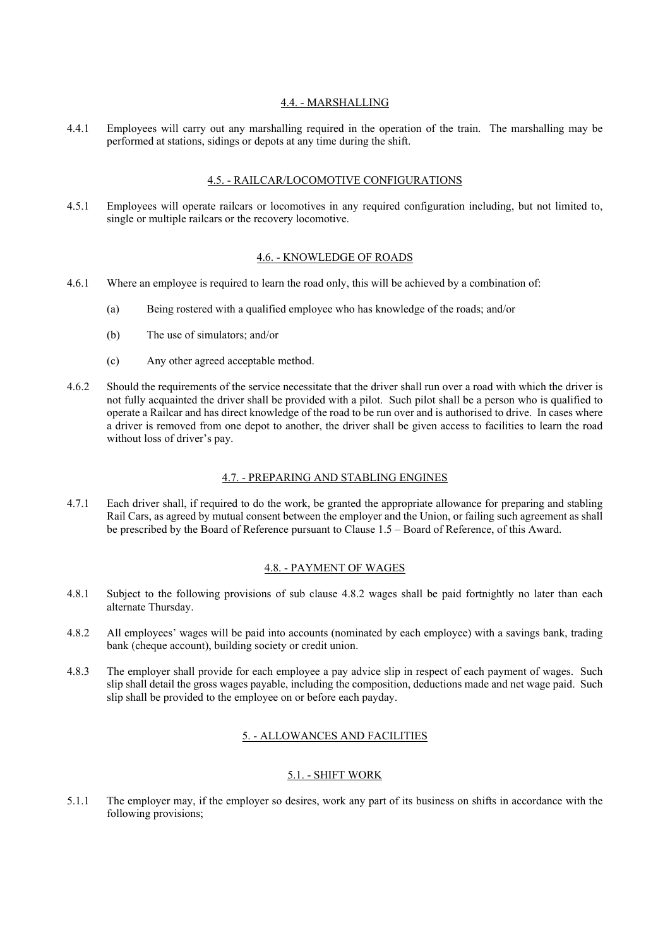#### 4.4. - MARSHALLING

4.4.1 Employees will carry out any marshalling required in the operation of the train. The marshalling may be performed at stations, sidings or depots at any time during the shift.

#### 4.5. - RAILCAR/LOCOMOTIVE CONFIGURATIONS

4.5.1 Employees will operate railcars or locomotives in any required configuration including, but not limited to, single or multiple railcars or the recovery locomotive.

#### 4.6. - KNOWLEDGE OF ROADS

- 4.6.1 Where an employee is required to learn the road only, this will be achieved by a combination of:
	- (a) Being rostered with a qualified employee who has knowledge of the roads; and/or
	- (b) The use of simulators; and/or
	- (c) Any other agreed acceptable method.
- 4.6.2 Should the requirements of the service necessitate that the driver shall run over a road with which the driver is not fully acquainted the driver shall be provided with a pilot. Such pilot shall be a person who is qualified to operate a Railcar and has direct knowledge of the road to be run over and is authorised to drive. In cases where a driver is removed from one depot to another, the driver shall be given access to facilities to learn the road without loss of driver's pay.

#### 4.7. - PREPARING AND STABLING ENGINES

4.7.1 Each driver shall, if required to do the work, be granted the appropriate allowance for preparing and stabling Rail Cars, as agreed by mutual consent between the employer and the Union, or failing such agreement as shall be prescribed by the Board of Reference pursuant to Clause 1.5 – Board of Reference, of this Award.

#### 4.8. - PAYMENT OF WAGES

- 4.8.1 Subject to the following provisions of sub clause 4.8.2 wages shall be paid fortnightly no later than each alternate Thursday.
- 4.8.2 All employees' wages will be paid into accounts (nominated by each employee) with a savings bank, trading bank (cheque account), building society or credit union.
- 4.8.3 The employer shall provide for each employee a pay advice slip in respect of each payment of wages. Such slip shall detail the gross wages payable, including the composition, deductions made and net wage paid. Such slip shall be provided to the employee on or before each payday.

### 5. - ALLOWANCES AND FACILITIES

#### 5.1. - SHIFT WORK

5.1.1 The employer may, if the employer so desires, work any part of its business on shifts in accordance with the following provisions;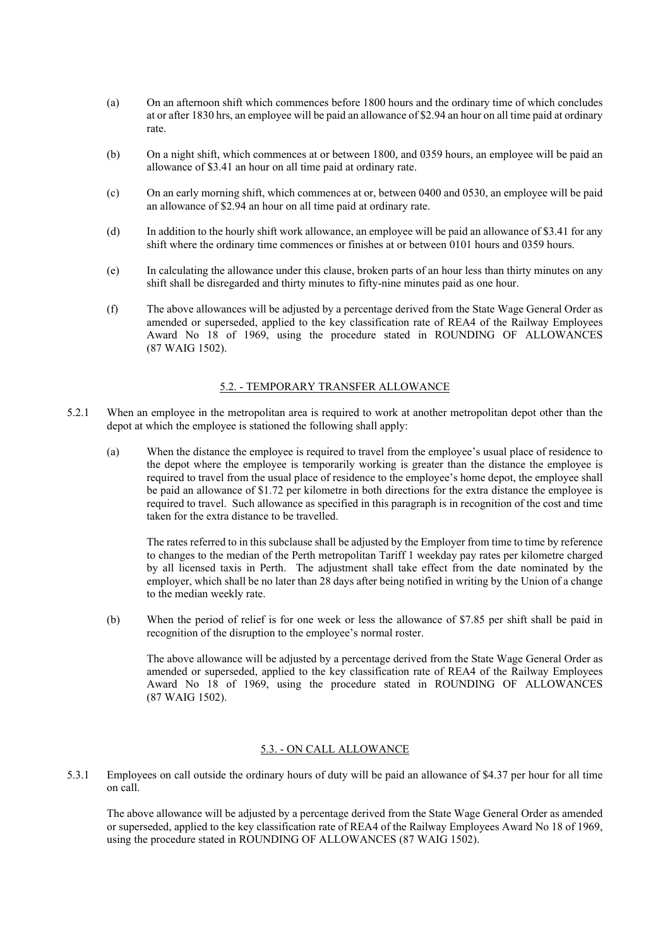- (a) On an afternoon shift which commences before 1800 hours and the ordinary time of which concludes at or after 1830 hrs, an employee will be paid an allowance of \$2.94 an hour on all time paid at ordinary rate.
- (b) On a night shift, which commences at or between 1800, and 0359 hours, an employee will be paid an allowance of \$3.41 an hour on all time paid at ordinary rate.
- (c) On an early morning shift, which commences at or, between 0400 and 0530, an employee will be paid an allowance of \$2.94 an hour on all time paid at ordinary rate.
- (d) In addition to the hourly shift work allowance, an employee will be paid an allowance of \$3.41 for any shift where the ordinary time commences or finishes at or between 0101 hours and 0359 hours.
- (e) In calculating the allowance under this clause, broken parts of an hour less than thirty minutes on any shift shall be disregarded and thirty minutes to fifty-nine minutes paid as one hour.
- (f) The above allowances will be adjusted by a percentage derived from the State Wage General Order as amended or superseded, applied to the key classification rate of REA4 of the Railway Employees Award No 18 of 1969, using the procedure stated in ROUNDING OF ALLOWANCES (87 WAIG 1502).

#### 5.2. - TEMPORARY TRANSFER ALLOWANCE

- 5.2.1 When an employee in the metropolitan area is required to work at another metropolitan depot other than the depot at which the employee is stationed the following shall apply:
	- (a) When the distance the employee is required to travel from the employee's usual place of residence to the depot where the employee is temporarily working is greater than the distance the employee is required to travel from the usual place of residence to the employee's home depot, the employee shall be paid an allowance of \$1.72 per kilometre in both directions for the extra distance the employee is required to travel. Such allowance as specified in this paragraph is in recognition of the cost and time taken for the extra distance to be travelled.

The rates referred to in this subclause shall be adjusted by the Employer from time to time by reference to changes to the median of the Perth metropolitan Tariff 1 weekday pay rates per kilometre charged by all licensed taxis in Perth. The adjustment shall take effect from the date nominated by the employer, which shall be no later than 28 days after being notified in writing by the Union of a change to the median weekly rate.

(b) When the period of relief is for one week or less the allowance of \$7.85 per shift shall be paid in recognition of the disruption to the employee's normal roster.

The above allowance will be adjusted by a percentage derived from the State Wage General Order as amended or superseded, applied to the key classification rate of REA4 of the Railway Employees Award No 18 of 1969, using the procedure stated in ROUNDING OF ALLOWANCES (87 WAIG 1502).

#### 5.3. - ON CALL ALLOWANCE

5.3.1 Employees on call outside the ordinary hours of duty will be paid an allowance of \$4.37 per hour for all time on call.

The above allowance will be adjusted by a percentage derived from the State Wage General Order as amended or superseded, applied to the key classification rate of REA4 of the Railway Employees Award No 18 of 1969, using the procedure stated in ROUNDING OF ALLOWANCES (87 WAIG 1502).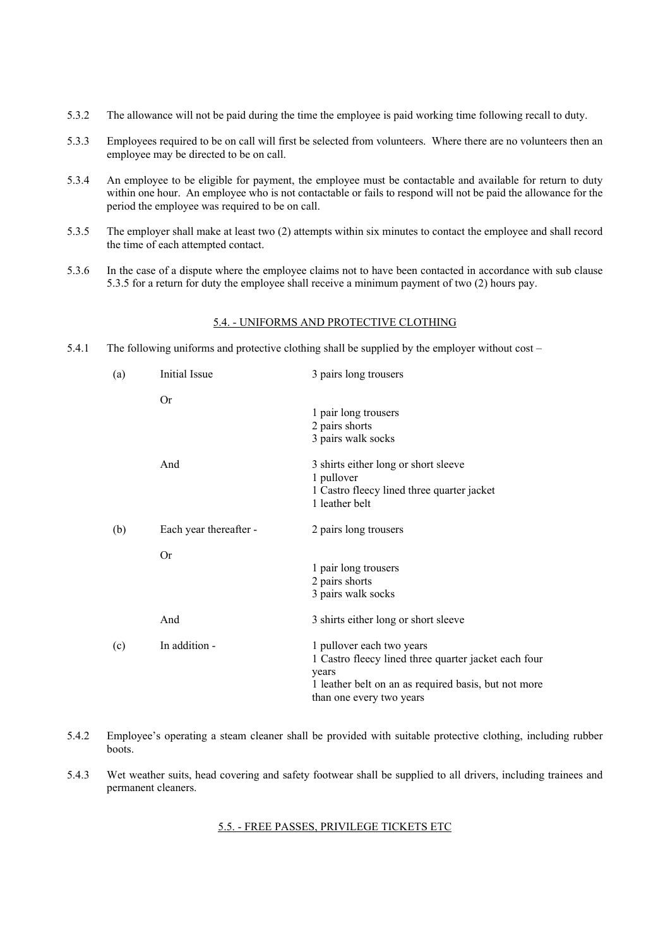- 5.3.2 The allowance will not be paid during the time the employee is paid working time following recall to duty.
- 5.3.3 Employees required to be on call will first be selected from volunteers. Where there are no volunteers then an employee may be directed to be on call.
- 5.3.4 An employee to be eligible for payment, the employee must be contactable and available for return to duty within one hour. An employee who is not contactable or fails to respond will not be paid the allowance for the period the employee was required to be on call.
- 5.3.5 The employer shall make at least two (2) attempts within six minutes to contact the employee and shall record the time of each attempted contact.
- 5.3.6 In the case of a dispute where the employee claims not to have been contacted in accordance with sub clause 5.3.5 for a return for duty the employee shall receive a minimum payment of two (2) hours pay.

#### 5.4. - UNIFORMS AND PROTECTIVE CLOTHING

5.4.1 The following uniforms and protective clothing shall be supplied by the employer without cost –

| (a) | Initial Issue          | 3 pairs long trousers                                                                                                                                                          |
|-----|------------------------|--------------------------------------------------------------------------------------------------------------------------------------------------------------------------------|
|     | Or                     | 1 pair long trousers                                                                                                                                                           |
|     |                        | 2 pairs shorts<br>3 pairs walk socks                                                                                                                                           |
|     | And                    | 3 shirts either long or short sleeve<br>1 pullover<br>1 Castro fleecy lined three quarter jacket<br>1 leather belt                                                             |
| (b) | Each year thereafter - | 2 pairs long trousers                                                                                                                                                          |
|     | <b>Or</b>              |                                                                                                                                                                                |
|     |                        | 1 pair long trousers                                                                                                                                                           |
|     |                        | 2 pairs shorts                                                                                                                                                                 |
|     |                        | 3 pairs walk socks                                                                                                                                                             |
|     | And                    | 3 shirts either long or short sleeve                                                                                                                                           |
| (c) | In addition -          | 1 pullover each two years<br>1 Castro fleecy lined three quarter jacket each four<br>years<br>1 leather belt on an as required basis, but not more<br>than one every two years |

- 5.4.2 Employee's operating a steam cleaner shall be provided with suitable protective clothing, including rubber boots.
- 5.4.3 Wet weather suits, head covering and safety footwear shall be supplied to all drivers, including trainees and permanent cleaners.

#### 5.5. - FREE PASSES, PRIVILEGE TICKETS ETC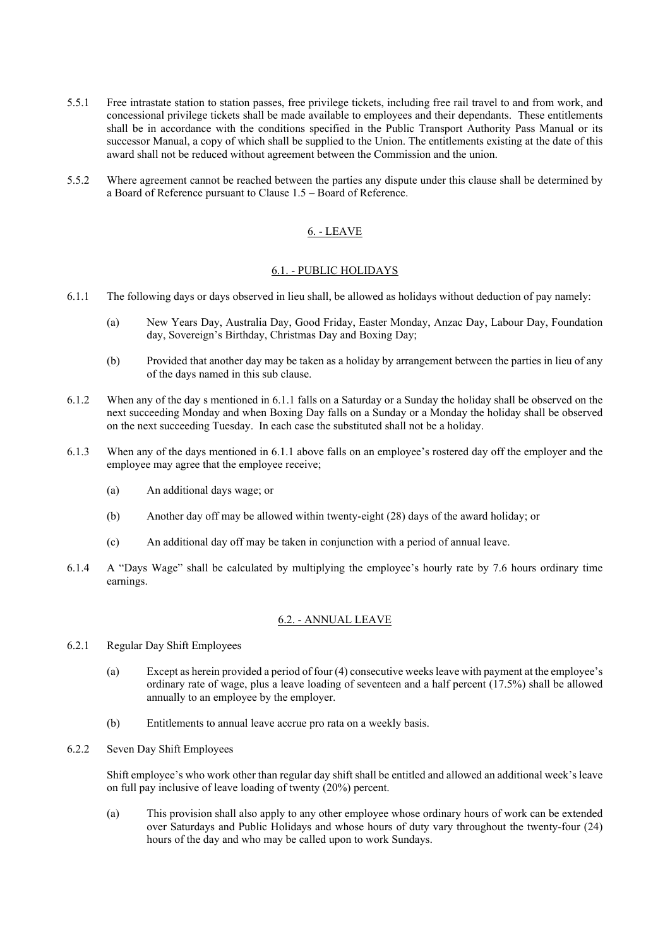- 5.5.1 Free intrastate station to station passes, free privilege tickets, including free rail travel to and from work, and concessional privilege tickets shall be made available to employees and their dependants. These entitlements shall be in accordance with the conditions specified in the Public Transport Authority Pass Manual or its successor Manual, a copy of which shall be supplied to the Union. The entitlements existing at the date of this award shall not be reduced without agreement between the Commission and the union.
- 5.5.2 Where agreement cannot be reached between the parties any dispute under this clause shall be determined by a Board of Reference pursuant to Clause 1.5 – Board of Reference.

### 6. - LEAVE

#### 6.1. - PUBLIC HOLIDAYS

- 6.1.1 The following days or days observed in lieu shall, be allowed as holidays without deduction of pay namely:
	- (a) New Years Day, Australia Day, Good Friday, Easter Monday, Anzac Day, Labour Day, Foundation day, Sovereign's Birthday, Christmas Day and Boxing Day;
	- (b) Provided that another day may be taken as a holiday by arrangement between the parties in lieu of any of the days named in this sub clause.
- 6.1.2 When any of the day s mentioned in 6.1.1 falls on a Saturday or a Sunday the holiday shall be observed on the next succeeding Monday and when Boxing Day falls on a Sunday or a Monday the holiday shall be observed on the next succeeding Tuesday. In each case the substituted shall not be a holiday.
- 6.1.3 When any of the days mentioned in 6.1.1 above falls on an employee's rostered day off the employer and the employee may agree that the employee receive;
	- (a) An additional days wage; or
	- (b) Another day off may be allowed within twenty-eight (28) days of the award holiday; or
	- (c) An additional day off may be taken in conjunction with a period of annual leave.
- 6.1.4 A "Days Wage" shall be calculated by multiplying the employee's hourly rate by 7.6 hours ordinary time earnings.

#### 6.2. - ANNUAL LEAVE

- 6.2.1 Regular Day Shift Employees
	- (a) Except as herein provided a period of four (4) consecutive weeks leave with payment at the employee's ordinary rate of wage, plus a leave loading of seventeen and a half percent (17.5%) shall be allowed annually to an employee by the employer.
	- (b) Entitlements to annual leave accrue pro rata on a weekly basis.
- 6.2.2 Seven Day Shift Employees

Shift employee's who work other than regular day shift shall be entitled and allowed an additional week's leave on full pay inclusive of leave loading of twenty (20%) percent.

(a) This provision shall also apply to any other employee whose ordinary hours of work can be extended over Saturdays and Public Holidays and whose hours of duty vary throughout the twenty-four (24) hours of the day and who may be called upon to work Sundays.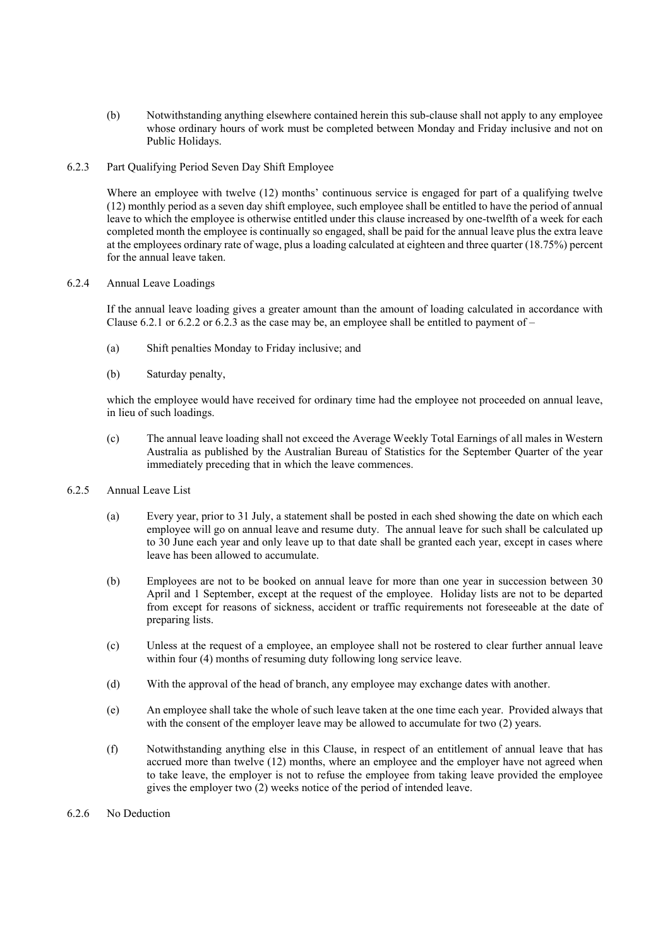- (b) Notwithstanding anything elsewhere contained herein this sub-clause shall not apply to any employee whose ordinary hours of work must be completed between Monday and Friday inclusive and not on Public Holidays.
- 6.2.3 Part Qualifying Period Seven Day Shift Employee

Where an employee with twelve (12) months' continuous service is engaged for part of a qualifying twelve (12) monthly period as a seven day shift employee, such employee shall be entitled to have the period of annual leave to which the employee is otherwise entitled under this clause increased by one-twelfth of a week for each completed month the employee is continually so engaged, shall be paid for the annual leave plus the extra leave at the employees ordinary rate of wage, plus a loading calculated at eighteen and three quarter (18.75%) percent for the annual leave taken.

#### 6.2.4 Annual Leave Loadings

If the annual leave loading gives a greater amount than the amount of loading calculated in accordance with Clause 6.2.1 or 6.2.2 or 6.2.3 as the case may be, an employee shall be entitled to payment of  $-$ 

- (a) Shift penalties Monday to Friday inclusive; and
- (b) Saturday penalty,

which the employee would have received for ordinary time had the employee not proceeded on annual leave, in lieu of such loadings.

- (c) The annual leave loading shall not exceed the Average Weekly Total Earnings of all males in Western Australia as published by the Australian Bureau of Statistics for the September Quarter of the year immediately preceding that in which the leave commences.
- 6.2.5 Annual Leave List
	- (a) Every year, prior to 31 July, a statement shall be posted in each shed showing the date on which each employee will go on annual leave and resume duty. The annual leave for such shall be calculated up to 30 June each year and only leave up to that date shall be granted each year, except in cases where leave has been allowed to accumulate.
	- (b) Employees are not to be booked on annual leave for more than one year in succession between 30 April and 1 September, except at the request of the employee. Holiday lists are not to be departed from except for reasons of sickness, accident or traffic requirements not foreseeable at the date of preparing lists.
	- (c) Unless at the request of a employee, an employee shall not be rostered to clear further annual leave within four (4) months of resuming duty following long service leave.
	- (d) With the approval of the head of branch, any employee may exchange dates with another.
	- (e) An employee shall take the whole of such leave taken at the one time each year. Provided always that with the consent of the employer leave may be allowed to accumulate for two (2) years.
	- (f) Notwithstanding anything else in this Clause, in respect of an entitlement of annual leave that has accrued more than twelve (12) months, where an employee and the employer have not agreed when to take leave, the employer is not to refuse the employee from taking leave provided the employee gives the employer two (2) weeks notice of the period of intended leave.
- 6.2.6 No Deduction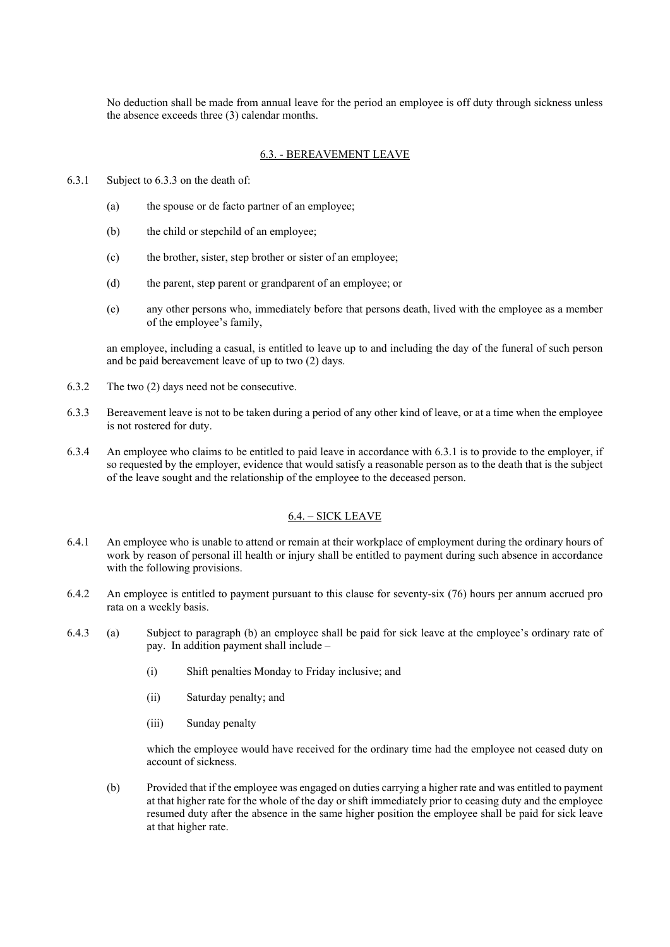No deduction shall be made from annual leave for the period an employee is off duty through sickness unless the absence exceeds three (3) calendar months.

#### 6.3. - BEREAVEMENT LEAVE

- 6.3.1 Subject to 6.3.3 on the death of:
	- (a) the spouse or de facto partner of an employee;
	- (b) the child or stepchild of an employee;
	- (c) the brother, sister, step brother or sister of an employee;
	- (d) the parent, step parent or grandparent of an employee; or
	- (e) any other persons who, immediately before that persons death, lived with the employee as a member of the employee's family,

an employee, including a casual, is entitled to leave up to and including the day of the funeral of such person and be paid bereavement leave of up to two (2) days.

- 6.3.2 The two (2) days need not be consecutive.
- 6.3.3 Bereavement leave is not to be taken during a period of any other kind of leave, or at a time when the employee is not rostered for duty.
- 6.3.4 An employee who claims to be entitled to paid leave in accordance with 6.3.1 is to provide to the employer, if so requested by the employer, evidence that would satisfy a reasonable person as to the death that is the subject of the leave sought and the relationship of the employee to the deceased person.

#### 6.4. – SICK LEAVE

- 6.4.1 An employee who is unable to attend or remain at their workplace of employment during the ordinary hours of work by reason of personal ill health or injury shall be entitled to payment during such absence in accordance with the following provisions.
- 6.4.2 An employee is entitled to payment pursuant to this clause for seventy-six (76) hours per annum accrued pro rata on a weekly basis.
- 6.4.3 (a) Subject to paragraph (b) an employee shall be paid for sick leave at the employee's ordinary rate of pay. In addition payment shall include –
	- (i) Shift penalties Monday to Friday inclusive; and
	- (ii) Saturday penalty; and
	- (iii) Sunday penalty

which the employee would have received for the ordinary time had the employee not ceased duty on account of sickness.

(b) Provided that if the employee was engaged on duties carrying a higher rate and was entitled to payment at that higher rate for the whole of the day or shift immediately prior to ceasing duty and the employee resumed duty after the absence in the same higher position the employee shall be paid for sick leave at that higher rate.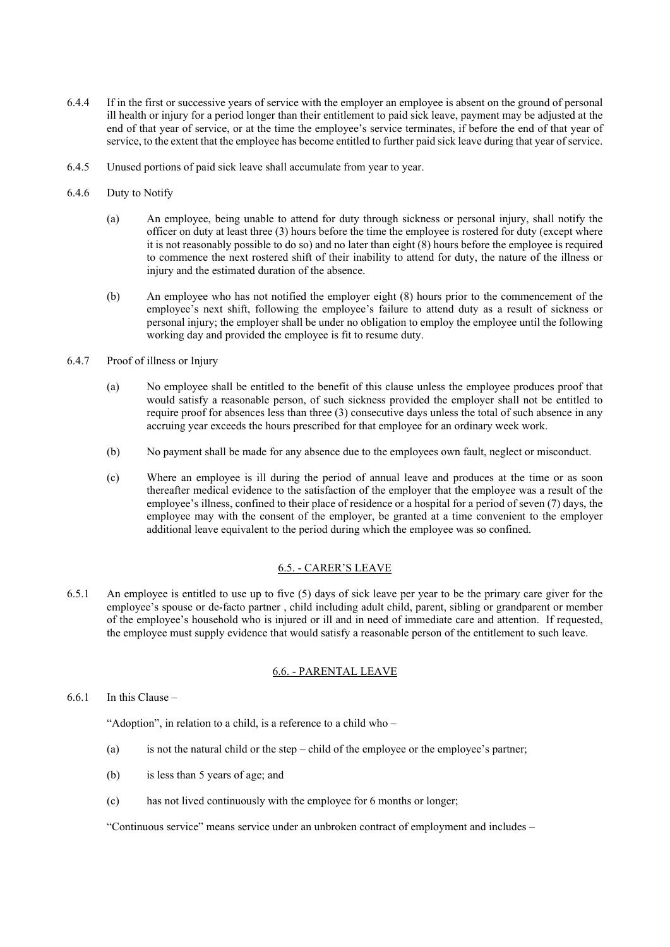- 6.4.4 If in the first or successive years of service with the employer an employee is absent on the ground of personal ill health or injury for a period longer than their entitlement to paid sick leave, payment may be adjusted at the end of that year of service, or at the time the employee's service terminates, if before the end of that year of service, to the extent that the employee has become entitled to further paid sick leave during that year of service.
- 6.4.5 Unused portions of paid sick leave shall accumulate from year to year.
- 6.4.6 Duty to Notify
	- (a) An employee, being unable to attend for duty through sickness or personal injury, shall notify the officer on duty at least three (3) hours before the time the employee is rostered for duty (except where it is not reasonably possible to do so) and no later than eight (8) hours before the employee is required to commence the next rostered shift of their inability to attend for duty, the nature of the illness or injury and the estimated duration of the absence.
	- (b) An employee who has not notified the employer eight (8) hours prior to the commencement of the employee's next shift, following the employee's failure to attend duty as a result of sickness or personal injury; the employer shall be under no obligation to employ the employee until the following working day and provided the employee is fit to resume duty.
- 6.4.7 Proof of illness or Injury
	- (a) No employee shall be entitled to the benefit of this clause unless the employee produces proof that would satisfy a reasonable person, of such sickness provided the employer shall not be entitled to require proof for absences less than three (3) consecutive days unless the total of such absence in any accruing year exceeds the hours prescribed for that employee for an ordinary week work.
	- (b) No payment shall be made for any absence due to the employees own fault, neglect or misconduct.
	- (c) Where an employee is ill during the period of annual leave and produces at the time or as soon thereafter medical evidence to the satisfaction of the employer that the employee was a result of the employee's illness, confined to their place of residence or a hospital for a period of seven (7) days, the employee may with the consent of the employer, be granted at a time convenient to the employer additional leave equivalent to the period during which the employee was so confined.

#### 6.5. - CARER'S LEAVE

6.5.1 An employee is entitled to use up to five (5) days of sick leave per year to be the primary care giver for the employee's spouse or de-facto partner , child including adult child, parent, sibling or grandparent or member of the employee's household who is injured or ill and in need of immediate care and attention. If requested, the employee must supply evidence that would satisfy a reasonable person of the entitlement to such leave.

#### 6.6. - PARENTAL LEAVE

6.6.1 In this Clause –

"Adoption", in relation to a child, is a reference to a child who –

- (a) is not the natural child or the step child of the employee or the employee's partner;
- (b) is less than 5 years of age; and
- (c) has not lived continuously with the employee for 6 months or longer;

"Continuous service" means service under an unbroken contract of employment and includes –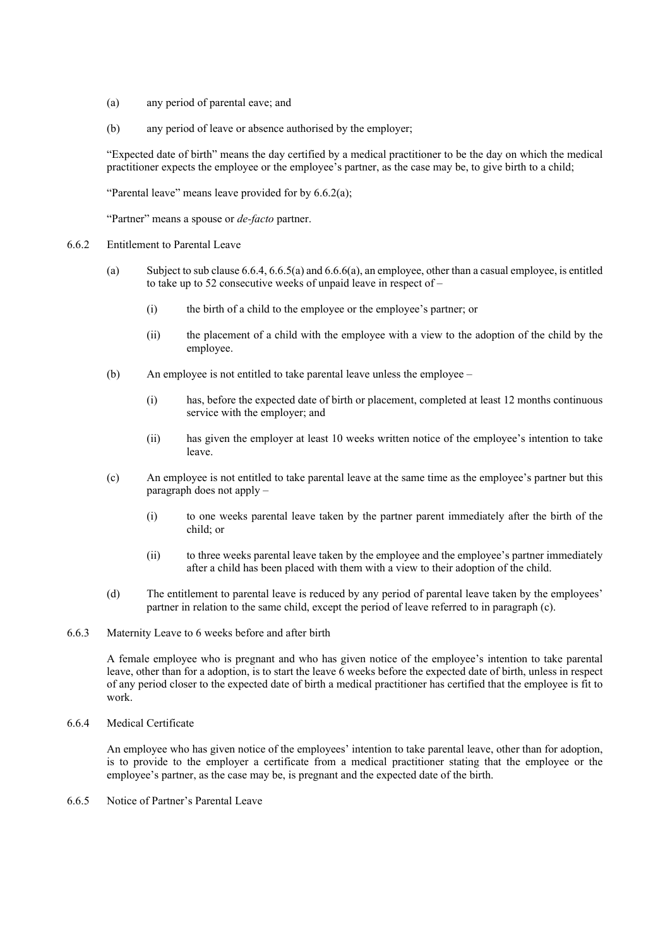- (a) any period of parental eave; and
- (b) any period of leave or absence authorised by the employer;

"Expected date of birth" means the day certified by a medical practitioner to be the day on which the medical practitioner expects the employee or the employee's partner, as the case may be, to give birth to a child;

"Parental leave" means leave provided for by 6.6.2(a);

"Partner" means a spouse or *de-facto* partner.

- 6.6.2 Entitlement to Parental Leave
	- (a) Subject to sub clause 6.6.4, 6.6.5(a) and 6.6.6(a), an employee, other than a casual employee, is entitled to take up to 52 consecutive weeks of unpaid leave in respect of –
		- (i) the birth of a child to the employee or the employee's partner; or
		- (ii) the placement of a child with the employee with a view to the adoption of the child by the employee.
	- (b) An employee is not entitled to take parental leave unless the employee
		- (i) has, before the expected date of birth or placement, completed at least 12 months continuous service with the employer; and
		- (ii) has given the employer at least 10 weeks written notice of the employee's intention to take leave.
	- (c) An employee is not entitled to take parental leave at the same time as the employee's partner but this paragraph does not apply –
		- (i) to one weeks parental leave taken by the partner parent immediately after the birth of the child; or
		- (ii) to three weeks parental leave taken by the employee and the employee's partner immediately after a child has been placed with them with a view to their adoption of the child.
	- (d) The entitlement to parental leave is reduced by any period of parental leave taken by the employees' partner in relation to the same child, except the period of leave referred to in paragraph (c).
- 6.6.3 Maternity Leave to 6 weeks before and after birth

A female employee who is pregnant and who has given notice of the employee's intention to take parental leave, other than for a adoption, is to start the leave 6 weeks before the expected date of birth, unless in respect of any period closer to the expected date of birth a medical practitioner has certified that the employee is fit to work.

6.6.4 Medical Certificate

An employee who has given notice of the employees' intention to take parental leave, other than for adoption, is to provide to the employer a certificate from a medical practitioner stating that the employee or the employee's partner, as the case may be, is pregnant and the expected date of the birth.

6.6.5 Notice of Partner's Parental Leave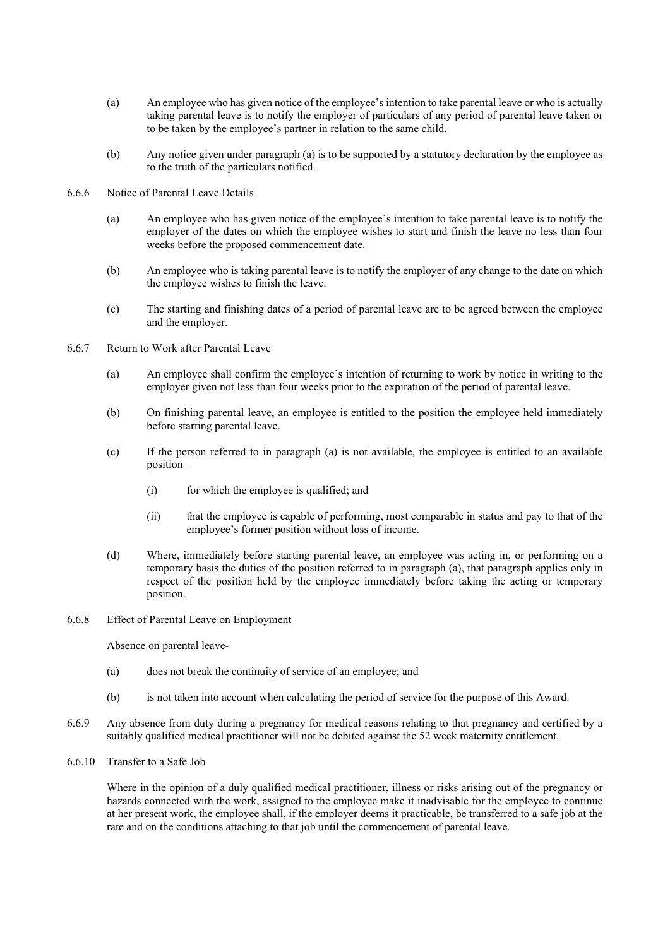- (a) An employee who has given notice of the employee's intention to take parental leave or who is actually taking parental leave is to notify the employer of particulars of any period of parental leave taken or to be taken by the employee's partner in relation to the same child.
- (b) Any notice given under paragraph (a) is to be supported by a statutory declaration by the employee as to the truth of the particulars notified.
- 6.6.6 Notice of Parental Leave Details
	- (a) An employee who has given notice of the employee's intention to take parental leave is to notify the employer of the dates on which the employee wishes to start and finish the leave no less than four weeks before the proposed commencement date.
	- (b) An employee who is taking parental leave is to notify the employer of any change to the date on which the employee wishes to finish the leave.
	- (c) The starting and finishing dates of a period of parental leave are to be agreed between the employee and the employer.
- 6.6.7 Return to Work after Parental Leave
	- (a) An employee shall confirm the employee's intention of returning to work by notice in writing to the employer given not less than four weeks prior to the expiration of the period of parental leave.
	- (b) On finishing parental leave, an employee is entitled to the position the employee held immediately before starting parental leave.
	- (c) If the person referred to in paragraph (a) is not available, the employee is entitled to an available position –
		- (i) for which the employee is qualified; and
		- (ii) that the employee is capable of performing, most comparable in status and pay to that of the employee's former position without loss of income.
	- (d) Where, immediately before starting parental leave, an employee was acting in, or performing on a temporary basis the duties of the position referred to in paragraph (a), that paragraph applies only in respect of the position held by the employee immediately before taking the acting or temporary position.
- 6.6.8 Effect of Parental Leave on Employment

Absence on parental leave-

- (a) does not break the continuity of service of an employee; and
- (b) is not taken into account when calculating the period of service for the purpose of this Award.
- 6.6.9 Any absence from duty during a pregnancy for medical reasons relating to that pregnancy and certified by a suitably qualified medical practitioner will not be debited against the 52 week maternity entitlement.
- 6.6.10 Transfer to a Safe Job

Where in the opinion of a duly qualified medical practitioner, illness or risks arising out of the pregnancy or hazards connected with the work, assigned to the employee make it inadvisable for the employee to continue at her present work, the employee shall, if the employer deems it practicable, be transferred to a safe job at the rate and on the conditions attaching to that job until the commencement of parental leave.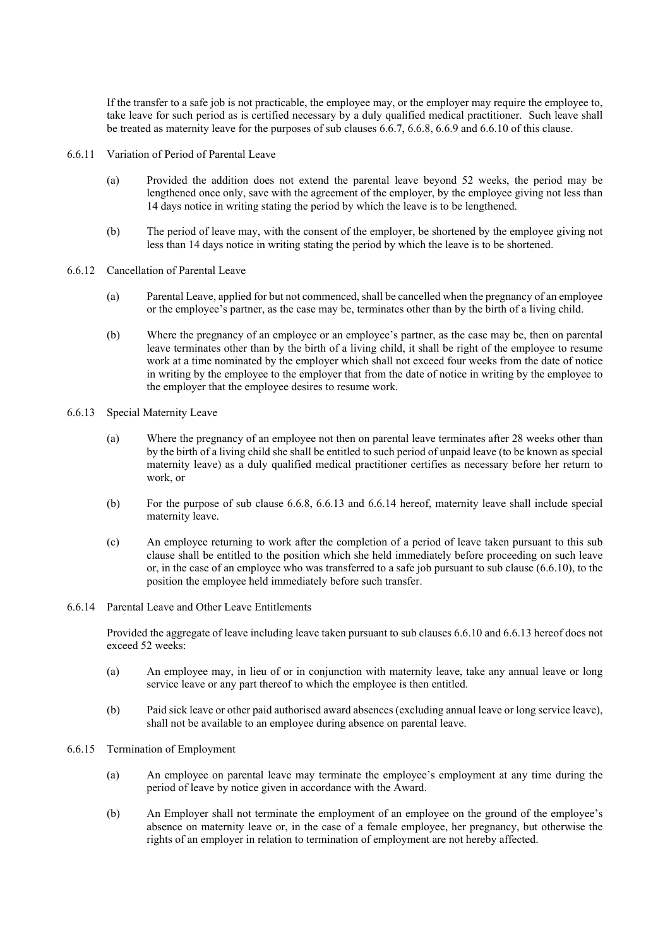If the transfer to a safe job is not practicable, the employee may, or the employer may require the employee to, take leave for such period as is certified necessary by a duly qualified medical practitioner. Such leave shall be treated as maternity leave for the purposes of sub clauses 6.6.7, 6.6.8, 6.6.9 and 6.6.10 of this clause.

- 6.6.11 Variation of Period of Parental Leave
	- (a) Provided the addition does not extend the parental leave beyond 52 weeks, the period may be lengthened once only, save with the agreement of the employer, by the employee giving not less than 14 days notice in writing stating the period by which the leave is to be lengthened.
	- (b) The period of leave may, with the consent of the employer, be shortened by the employee giving not less than 14 days notice in writing stating the period by which the leave is to be shortened.
- 6.6.12 Cancellation of Parental Leave
	- (a) Parental Leave, applied for but not commenced, shall be cancelled when the pregnancy of an employee or the employee's partner, as the case may be, terminates other than by the birth of a living child.
	- (b) Where the pregnancy of an employee or an employee's partner, as the case may be, then on parental leave terminates other than by the birth of a living child, it shall be right of the employee to resume work at a time nominated by the employer which shall not exceed four weeks from the date of notice in writing by the employee to the employer that from the date of notice in writing by the employee to the employer that the employee desires to resume work.
- 6.6.13 Special Maternity Leave
	- (a) Where the pregnancy of an employee not then on parental leave terminates after 28 weeks other than by the birth of a living child she shall be entitled to such period of unpaid leave (to be known as special maternity leave) as a duly qualified medical practitioner certifies as necessary before her return to work, or
	- (b) For the purpose of sub clause 6.6.8, 6.6.13 and 6.6.14 hereof, maternity leave shall include special maternity leave.
	- (c) An employee returning to work after the completion of a period of leave taken pursuant to this sub clause shall be entitled to the position which she held immediately before proceeding on such leave or, in the case of an employee who was transferred to a safe job pursuant to sub clause  $(6.6.10)$ , to the position the employee held immediately before such transfer.
- 6.6.14 Parental Leave and Other Leave Entitlements

Provided the aggregate of leave including leave taken pursuant to sub clauses 6.6.10 and 6.6.13 hereof does not exceed 52 weeks:

- (a) An employee may, in lieu of or in conjunction with maternity leave, take any annual leave or long service leave or any part thereof to which the employee is then entitled.
- (b) Paid sick leave or other paid authorised award absences (excluding annual leave or long service leave), shall not be available to an employee during absence on parental leave.
- 6.6.15 Termination of Employment
	- (a) An employee on parental leave may terminate the employee's employment at any time during the period of leave by notice given in accordance with the Award.
	- (b) An Employer shall not terminate the employment of an employee on the ground of the employee's absence on maternity leave or, in the case of a female employee, her pregnancy, but otherwise the rights of an employer in relation to termination of employment are not hereby affected.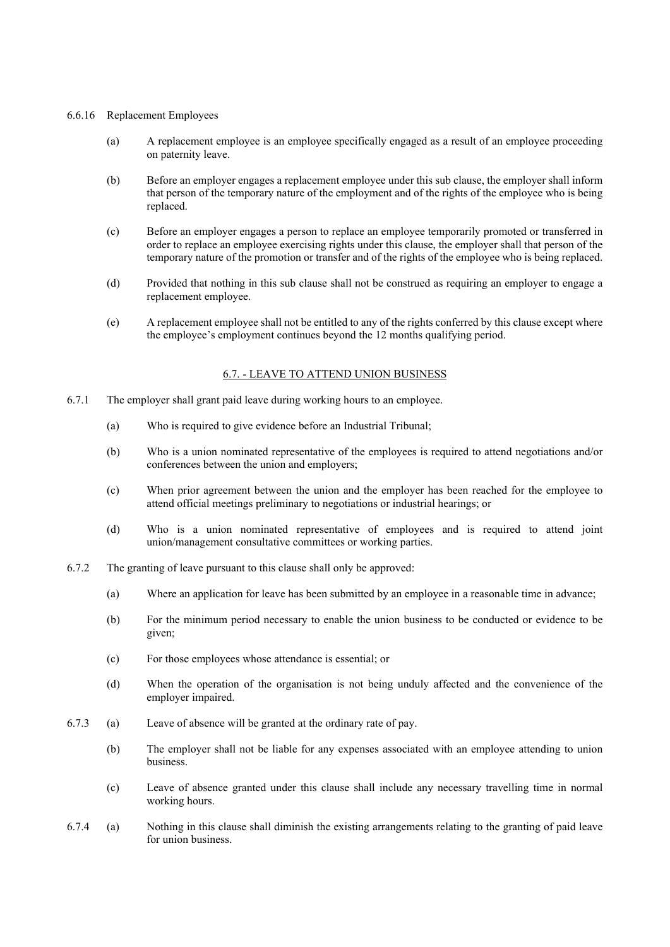#### 6.6.16 Replacement Employees

- (a) A replacement employee is an employee specifically engaged as a result of an employee proceeding on paternity leave.
- (b) Before an employer engages a replacement employee under this sub clause, the employer shall inform that person of the temporary nature of the employment and of the rights of the employee who is being replaced.
- (c) Before an employer engages a person to replace an employee temporarily promoted or transferred in order to replace an employee exercising rights under this clause, the employer shall that person of the temporary nature of the promotion or transfer and of the rights of the employee who is being replaced.
- (d) Provided that nothing in this sub clause shall not be construed as requiring an employer to engage a replacement employee.
- (e) A replacement employee shall not be entitled to any of the rights conferred by this clause except where the employee's employment continues beyond the 12 months qualifying period.

#### 6.7. - LEAVE TO ATTEND UNION BUSINESS

- 6.7.1 The employer shall grant paid leave during working hours to an employee.
	- (a) Who is required to give evidence before an Industrial Tribunal;
	- (b) Who is a union nominated representative of the employees is required to attend negotiations and/or conferences between the union and employers;
	- (c) When prior agreement between the union and the employer has been reached for the employee to attend official meetings preliminary to negotiations or industrial hearings; or
	- (d) Who is a union nominated representative of employees and is required to attend joint union/management consultative committees or working parties.
- 6.7.2 The granting of leave pursuant to this clause shall only be approved:
	- (a) Where an application for leave has been submitted by an employee in a reasonable time in advance;
	- (b) For the minimum period necessary to enable the union business to be conducted or evidence to be given;
	- (c) For those employees whose attendance is essential; or
	- (d) When the operation of the organisation is not being unduly affected and the convenience of the employer impaired.
- 6.7.3 (a) Leave of absence will be granted at the ordinary rate of pay.
	- (b) The employer shall not be liable for any expenses associated with an employee attending to union business.
	- (c) Leave of absence granted under this clause shall include any necessary travelling time in normal working hours.
- 6.7.4 (a) Nothing in this clause shall diminish the existing arrangements relating to the granting of paid leave for union business.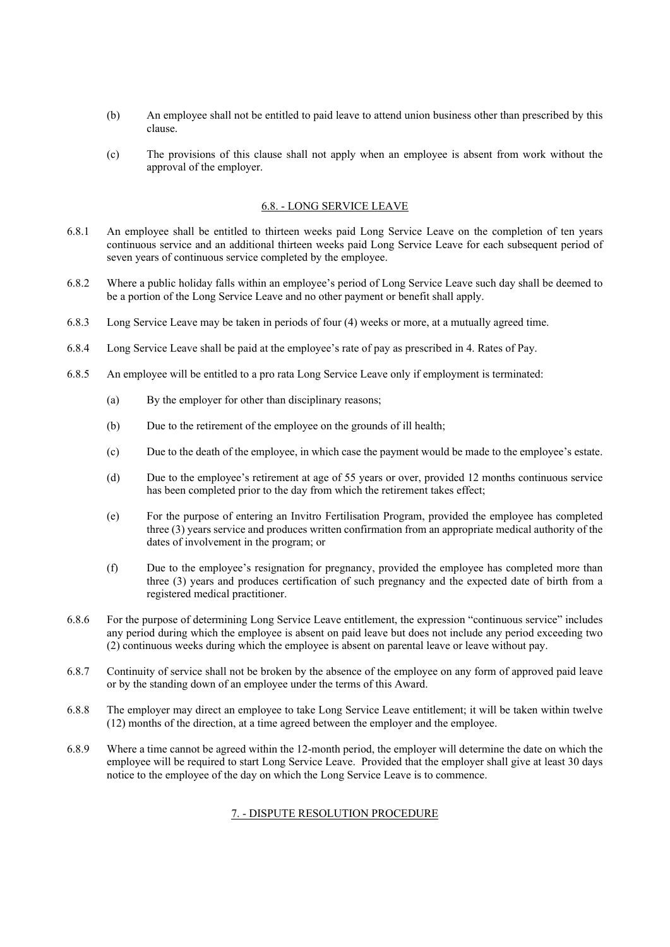- (b) An employee shall not be entitled to paid leave to attend union business other than prescribed by this clause.
- (c) The provisions of this clause shall not apply when an employee is absent from work without the approval of the employer.

### 6.8. - LONG SERVICE LEAVE

- 6.8.1 An employee shall be entitled to thirteen weeks paid Long Service Leave on the completion of ten years continuous service and an additional thirteen weeks paid Long Service Leave for each subsequent period of seven years of continuous service completed by the employee.
- 6.8.2 Where a public holiday falls within an employee's period of Long Service Leave such day shall be deemed to be a portion of the Long Service Leave and no other payment or benefit shall apply.
- 6.8.3 Long Service Leave may be taken in periods of four (4) weeks or more, at a mutually agreed time.
- 6.8.4 Long Service Leave shall be paid at the employee's rate of pay as prescribed in 4. Rates of Pay.
- 6.8.5 An employee will be entitled to a pro rata Long Service Leave only if employment is terminated:
	- (a) By the employer for other than disciplinary reasons;
	- (b) Due to the retirement of the employee on the grounds of ill health;
	- (c) Due to the death of the employee, in which case the payment would be made to the employee's estate.
	- (d) Due to the employee's retirement at age of 55 years or over, provided 12 months continuous service has been completed prior to the day from which the retirement takes effect;
	- (e) For the purpose of entering an Invitro Fertilisation Program, provided the employee has completed three (3) years service and produces written confirmation from an appropriate medical authority of the dates of involvement in the program; or
	- (f) Due to the employee's resignation for pregnancy, provided the employee has completed more than three (3) years and produces certification of such pregnancy and the expected date of birth from a registered medical practitioner.
- 6.8.6 For the purpose of determining Long Service Leave entitlement, the expression "continuous service" includes any period during which the employee is absent on paid leave but does not include any period exceeding two (2) continuous weeks during which the employee is absent on parental leave or leave without pay.
- 6.8.7 Continuity of service shall not be broken by the absence of the employee on any form of approved paid leave or by the standing down of an employee under the terms of this Award.
- 6.8.8 The employer may direct an employee to take Long Service Leave entitlement; it will be taken within twelve (12) months of the direction, at a time agreed between the employer and the employee.
- 6.8.9 Where a time cannot be agreed within the 12-month period, the employer will determine the date on which the employee will be required to start Long Service Leave. Provided that the employer shall give at least 30 days notice to the employee of the day on which the Long Service Leave is to commence.

#### 7. - DISPUTE RESOLUTION PROCEDURE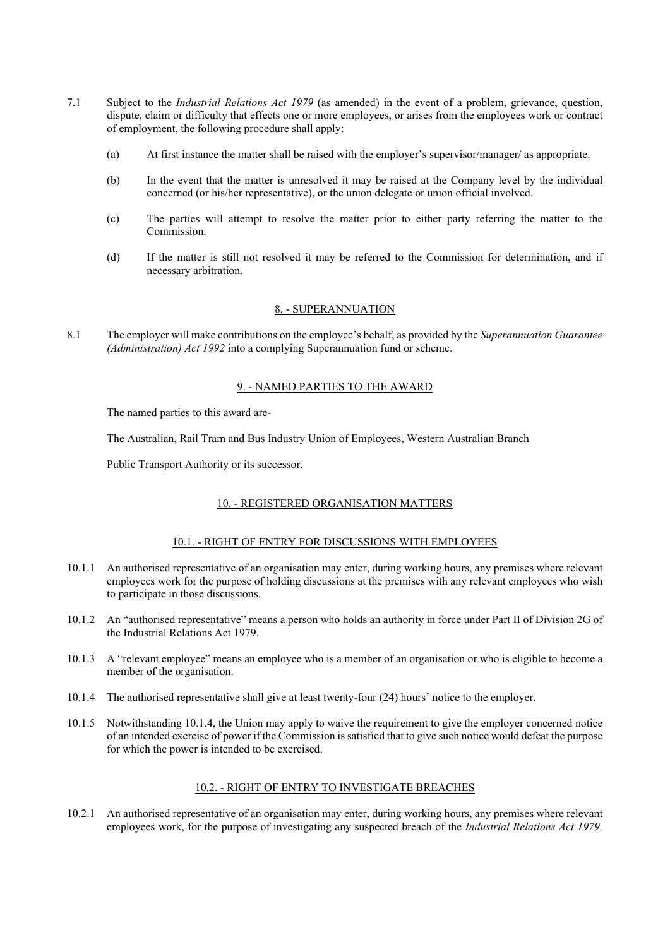- 7.1 Subject to the *Industrial Relations Act 1979* (as amended) in the event of a problem, grievance, question, dispute, claim or difficulty that effects one or more employees, or arises from the employees work or contract of employment, the following procedure shall apply:
	- (a) At first instance the matter shall be raised with the employer's supervisor/manager/ as appropriate.
	- (b) In the event that the matter is unresolved it may be raised at the Company level by the individual concerned (or his/her representative), or the union delegate or union official involved.
	- (c) The parties will attempt to resolve the matter prior to either party referring the matter to the Commission.
	- (d) If the matter is still not resolved it may be referred to the Commission for determination, and if necessary arbitration.

#### 8. - SUPERANNUATION

8.1 The employer will make contributions on the employee's behalf, as provided by the *Superannuation Guarantee (Administration) Act 1992* into a complying Superannuation fund or scheme.

#### 9. - NAMED PARTIES TO THE AWARD

The named parties to this award are-

The Australian, Rail Tram and Bus Industry Union of Employees, Western Australian Branch

Public Transport Authority or its successor.

## 10. - REGISTERED ORGANISATION MATTERS

#### 10.1. - RIGHT OF ENTRY FOR DISCUSSIONS WITH EMPLOYEES

- 10.1.1 An authorised representative of an organisation may enter, during working hours, any premises where relevant employees work for the purpose of holding discussions at the premises with any relevant employees who wish to participate in those discussions.
- 10.1.2 An "authorised representative" means a person who holds an authority in force under Part II of Division 2G of the Industrial Relations Act 1979.
- 10.1.3 A "relevant employee" means an employee who is a member of an organisation or who is eligible to become a member of the organisation.
- 10.1.4 The authorised representative shall give at least twenty-four (24) hours' notice to the employer.
- 10.1.5 Notwithstanding 10.1.4, the Union may apply to waive the requirement to give the employer concerned notice of an intended exercise of power if the Commission is satisfied that to give such notice would defeat the purpose for which the power is intended to be exercised.

#### 10.2. - RIGHT OF ENTRY TO INVESTIGATE BREACHES

10.2.1 An authorised representative of an organisation may enter, during working hours, any premises where relevant employees work, for the purpose of investigating any suspected breach of the *Industrial Relations Act 1979,*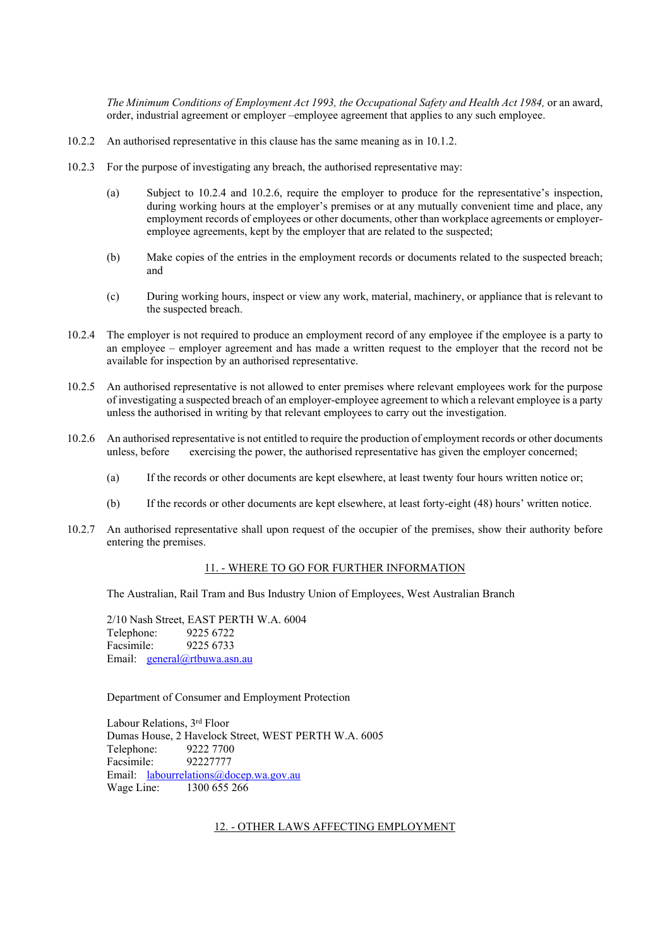*The Minimum Conditions of Employment Act 1993, the Occupational Safety and Health Act 1984,* or an award, order, industrial agreement or employer –employee agreement that applies to any such employee.

- 10.2.2 An authorised representative in this clause has the same meaning as in 10.1.2.
- 10.2.3 For the purpose of investigating any breach, the authorised representative may:
	- (a) Subject to 10.2.4 and 10.2.6, require the employer to produce for the representative's inspection, during working hours at the employer's premises or at any mutually convenient time and place, any employment records of employees or other documents, other than workplace agreements or employeremployee agreements, kept by the employer that are related to the suspected;
	- (b) Make copies of the entries in the employment records or documents related to the suspected breach; and
	- (c) During working hours, inspect or view any work, material, machinery, or appliance that is relevant to the suspected breach.
- 10.2.4 The employer is not required to produce an employment record of any employee if the employee is a party to an employee – employer agreement and has made a written request to the employer that the record not be available for inspection by an authorised representative.
- 10.2.5 An authorised representative is not allowed to enter premises where relevant employees work for the purpose of investigating a suspected breach of an employer-employee agreement to which a relevant employee is a party unless the authorised in writing by that relevant employees to carry out the investigation.
- 10.2.6 An authorised representative is not entitled to require the production of employment records or other documents unless, before exercising the power, the authorised representative has given the employer concerned;
	- (a) If the records or other documents are kept elsewhere, at least twenty four hours written notice or;
	- (b) If the records or other documents are kept elsewhere, at least forty-eight (48) hours' written notice.
- 10.2.7 An authorised representative shall upon request of the occupier of the premises, show their authority before entering the premises.

#### 11. - WHERE TO GO FOR FURTHER INFORMATION

The Australian, Rail Tram and Bus Industry Union of Employees, West Australian Branch

2/10 Nash Street, EAST PERTH W.A. 6004 Telephone: 9225 6722<br>Facsimile: 9225 6733 Facsimile: Email: [general@rtbuwa.asn.au](mailto:general@rtbuwa.asn.au)

Department of Consumer and Employment Protection

Labour Relations, 3rd Floor Dumas House, 2 Havelock Street, WEST PERTH W.A. 6005 Telephone: 9222 7700 Facsimile: 92227777 Email: [labourrelations@docep.wa.gov.au](mailto:labourrelations@docep.wa.gov.au) Wage Line: 1300 655 266

#### 12. - OTHER LAWS AFFECTING EMPLOYMENT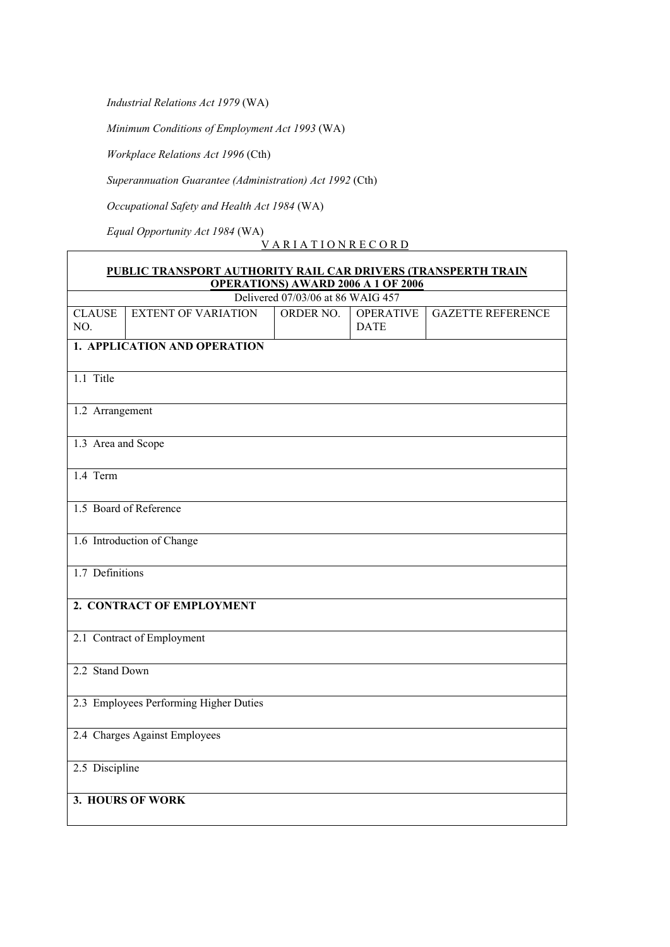*Industrial Relations Act 1979* (WA)

*Minimum Conditions of Employment Act 1993* (WA)

*Workplace Relations Act 1996* (Cth)

*Superannuation Guarantee (Administration) Act 1992* (Cth)

*Occupational Safety and Health Act 1984* (WA)

*Equal Opportunity Act 1984* (WA)

V A R I A T I O N R E C O R D

| PUBLIC TRANSPORT AUTHORITY RAIL CAR DRIVERS (TRANSPERTH TRAIN |                              |                                           |                                 |                          |  |
|---------------------------------------------------------------|------------------------------|-------------------------------------------|---------------------------------|--------------------------|--|
|                                                               |                              | <b>OPERATIONS) AWARD 2006 A 1 OF 2006</b> |                                 |                          |  |
|                                                               |                              | Delivered 07/03/06 at 86 WAIG 457         |                                 |                          |  |
| <b>CLAUSE</b><br>NO.                                          | <b>EXTENT OF VARIATION</b>   | ORDER NO.                                 | <b>OPERATIVE</b><br><b>DATE</b> | <b>GAZETTE REFERENCE</b> |  |
|                                                               | 1. APPLICATION AND OPERATION |                                           |                                 |                          |  |
| 1.1 Title                                                     |                              |                                           |                                 |                          |  |
| 1.2 Arrangement                                               |                              |                                           |                                 |                          |  |
| 1.3 Area and Scope                                            |                              |                                           |                                 |                          |  |
| 1.4 Term                                                      |                              |                                           |                                 |                          |  |
|                                                               | 1.5 Board of Reference       |                                           |                                 |                          |  |
|                                                               | 1.6 Introduction of Change   |                                           |                                 |                          |  |
|                                                               | 1.7 Definitions              |                                           |                                 |                          |  |
| 2. CONTRACT OF EMPLOYMENT                                     |                              |                                           |                                 |                          |  |
| 2.1 Contract of Employment                                    |                              |                                           |                                 |                          |  |
| 2.2 Stand Down                                                |                              |                                           |                                 |                          |  |
| 2.3 Employees Performing Higher Duties                        |                              |                                           |                                 |                          |  |
| 2.4 Charges Against Employees                                 |                              |                                           |                                 |                          |  |
| 2.5 Discipline                                                |                              |                                           |                                 |                          |  |
| 3. HOURS OF WORK                                              |                              |                                           |                                 |                          |  |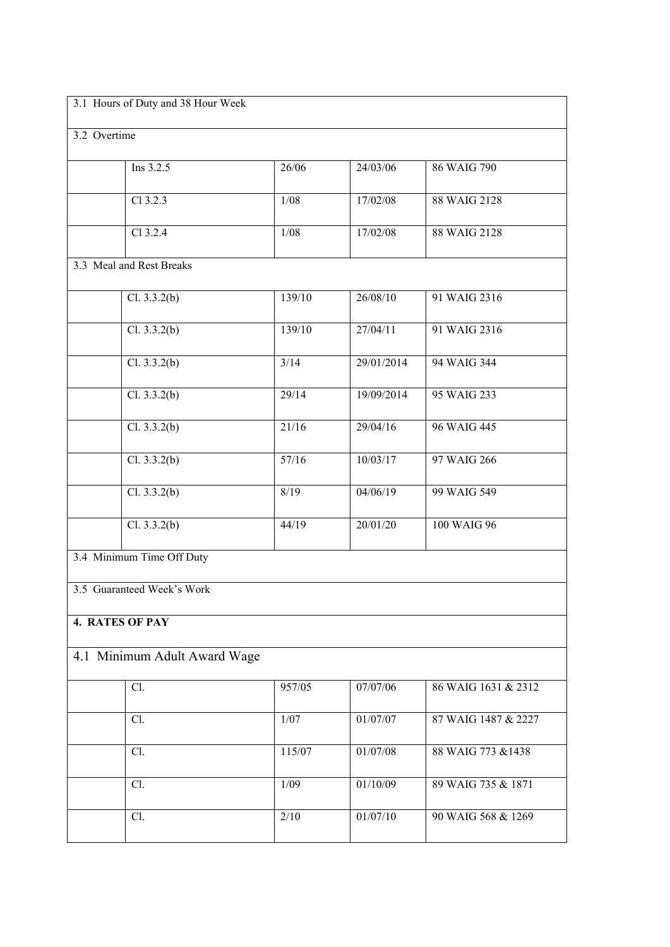| 3.1 Hours of Duty and 38 Hour Week |                            |        |            |                     |  |
|------------------------------------|----------------------------|--------|------------|---------------------|--|
| 3.2 Overtime                       |                            |        |            |                     |  |
|                                    | Ins 3.2.5                  | 26/06  | 24/03/06   | 86 WAIG 790         |  |
|                                    | Cl 3.2.3                   | $1/08$ | 17/02/08   | 88 WAIG 2128        |  |
|                                    | Cl 3.2.4                   | $1/08$ | 17/02/08   | 88 WAIG 2128        |  |
|                                    | 3.3 Meal and Rest Breaks   |        |            |                     |  |
|                                    | Cl. 3.3.2(b)               | 139/10 | 26/08/10   | 91 WAIG 2316        |  |
|                                    | Cl. 3.3.2(b)               | 139/10 | 27/04/11   | 91 WAIG 2316        |  |
|                                    | Cl. 3.3.2(b)               | 3/14   | 29/01/2014 | 94 WAIG 344         |  |
|                                    | Cl. 3.3.2(b)               | 29/14  | 19/09/2014 | 95 WAIG 233         |  |
|                                    | Cl. 3.3.2(b)               | 21/16  | 29/04/16   | 96 WAIG 445         |  |
|                                    | Cl. 3.3.2(b)               | 57/16  | 10/03/17   | 97 WAIG 266         |  |
|                                    | Cl. 3.3.2(b)               | 8/19   | 04/06/19   | 99 WAIG 549         |  |
|                                    | Cl. 3.3.2(b)               | 44/19  | 20/01/20   | 100 WAIG 96         |  |
| 3.4 Minimum Time Off Duty          |                            |        |            |                     |  |
|                                    | 3.5 Guaranteed Week's Work |        |            |                     |  |
| <b>4. RATES OF PAY</b>             |                            |        |            |                     |  |
| 4.1 Minimum Adult Award Wage       |                            |        |            |                     |  |
|                                    | Cl.                        | 957/05 | 07/07/06   | 86 WAIG 1631 & 2312 |  |
|                                    | Cl.                        | 1/07   | 01/07/07   | 87 WAIG 1487 & 2227 |  |
|                                    | Cl.                        | 115/07 | 01/07/08   | 88 WAIG 773 & 1438  |  |
|                                    | Cl.                        | 1/09   | 01/10/09   | 89 WAIG 735 & 1871  |  |
|                                    | Cl.                        | 2/10   | 01/07/10   | 90 WAIG 568 & 1269  |  |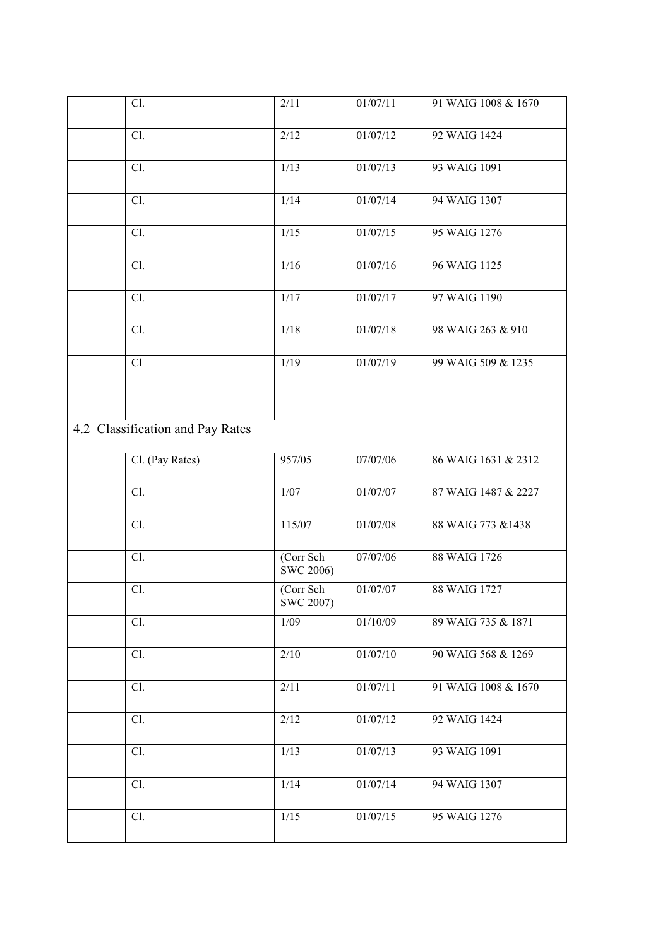| Cl.                              | 2/11                   | 01/07/11 | 91 WAIG 1008 & 1670 |
|----------------------------------|------------------------|----------|---------------------|
| Cl.                              | 2/12                   | 01/07/12 | 92 WAIG 1424        |
| Cl.                              | 1/13                   | 01/07/13 | 93 WAIG 1091        |
| Cl.                              | 1/14                   | 01/07/14 | 94 WAIG 1307        |
| Cl.                              | 1/15                   | 01/07/15 | 95 WAIG 1276        |
| Cl.                              | 1/16                   | 01/07/16 | 96 WAIG 1125        |
| Cl.                              | 1/17                   | 01/07/17 | 97 WAIG 1190        |
| Cl.                              | 1/18                   | 01/07/18 | 98 WAIG 263 & 910   |
| Cl                               | 1/19                   | 01/07/19 | 99 WAIG 509 & 1235  |
|                                  |                        |          |                     |
| 4.2 Classification and Pay Rates |                        |          |                     |
| Cl. (Pay Rates)                  | 957/05                 | 07/07/06 | 86 WAIG 1631 & 2312 |
| Cl.                              | $1/07$                 | 01/07/07 | 87 WAIG 1487 & 2227 |
| Cl.                              | 115/07                 | 01/07/08 | 88 WAIG 773 & 1438  |
| Cl.                              | (Corr Sch<br>SWC 2006) | 07/07/06 | 88 WAIG 1726        |
| $\overline{Cl}$ .                | (Corr Sch<br>SWC 2007) | 01/07/07 | 88 WAIG 1727        |
| Cl.                              | 1/09                   | 01/10/09 | 89 WAIG 735 & 1871  |
| Cl.                              | $\overline{2/10}$      | 01/07/10 | 90 WAIG 568 & 1269  |
| Cl.                              | 2/11                   | 01/07/11 | 91 WAIG 1008 & 1670 |
| Cl.                              | 2/12                   | 01/07/12 | 92 WAIG 1424        |
| Cl.                              | 1/13                   | 01/07/13 | 93 WAIG 1091        |
| Cl.                              | 1/14                   | 01/07/14 | 94 WAIG 1307        |
| Cl.                              | 1/15                   | 01/07/15 | 95 WAIG 1276        |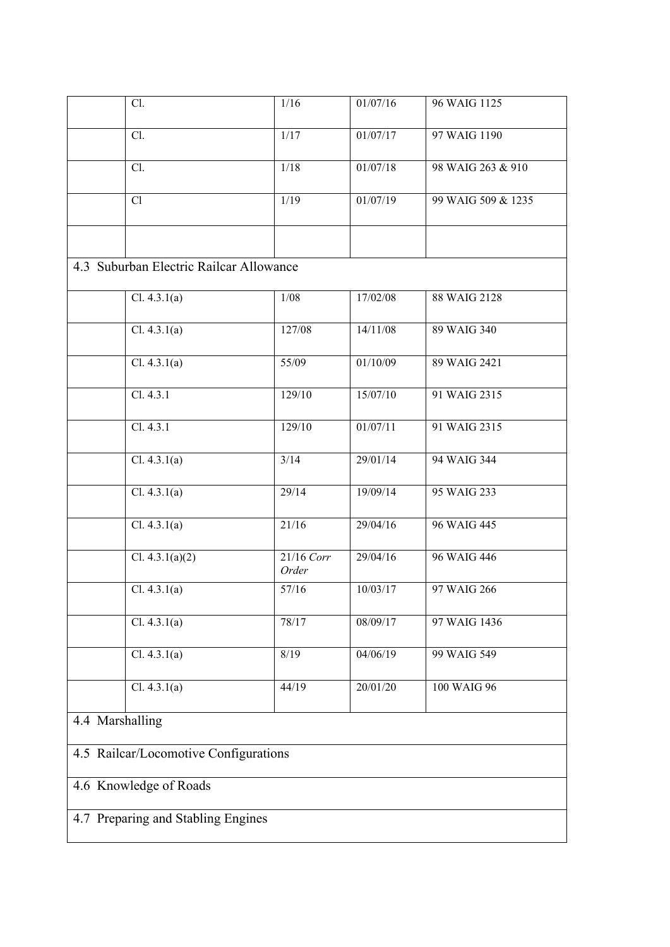|                                       | Cl.                                     | 1/16                | 01/07/16 | 96 WAIG 1125       |  |
|---------------------------------------|-----------------------------------------|---------------------|----------|--------------------|--|
|                                       | Cl.                                     | 1/17                | 01/07/17 | 97 WAIG 1190       |  |
|                                       | Cl.                                     | 1/18                | 01/07/18 | 98 WAIG 263 & 910  |  |
|                                       | Cl                                      | 1/19                | 01/07/19 | 99 WAIG 509 & 1235 |  |
|                                       |                                         |                     |          |                    |  |
|                                       | 4.3 Suburban Electric Railcar Allowance |                     |          |                    |  |
|                                       | Cl. 4.3.1(a)                            | 1/08                | 17/02/08 | 88 WAIG 2128       |  |
|                                       | Cl. 4.3.1(a)                            | 127/08              | 14/11/08 | 89 WAIG 340        |  |
|                                       | Cl. 4.3.1(a)                            | 55/09               | 01/10/09 | 89 WAIG 2421       |  |
|                                       | Cl. 4.3.1                               | 129/10              | 15/07/10 | 91 WAIG 2315       |  |
|                                       | Cl. 4.3.1                               | 129/10              | 01/07/11 | 91 WAIG 2315       |  |
|                                       | Cl. 4.3.1(a)                            | 3/14                | 29/01/14 | 94 WAIG 344        |  |
|                                       | Cl. 4.3.1(a)                            | 29/14               | 19/09/14 | 95 WAIG 233        |  |
|                                       | Cl. 4.3.1(a)                            | 21/16               | 29/04/16 | 96 WAIG 445        |  |
|                                       | Cl. $4.3.1(a)(2)$                       | 21/16 Corr<br>Order | 29/04/16 | 96 WAIG 446        |  |
|                                       | Cl. 4.3.1(a)                            | 57/16               | 10/03/17 | 97 WAIG 266        |  |
|                                       | Cl. 4.3.1(a)                            | 78/17               | 08/09/17 | 97 WAIG 1436       |  |
|                                       | Cl. 4.3.1(a)                            | 8/19                | 04/06/19 | 99 WAIG 549        |  |
|                                       | Cl. 4.3.1(a)                            | 44/19               | 20/01/20 | 100 WAIG 96        |  |
| 4.4 Marshalling                       |                                         |                     |          |                    |  |
| 4.5 Railcar/Locomotive Configurations |                                         |                     |          |                    |  |
| 4.6 Knowledge of Roads                |                                         |                     |          |                    |  |
| 4.7 Preparing and Stabling Engines    |                                         |                     |          |                    |  |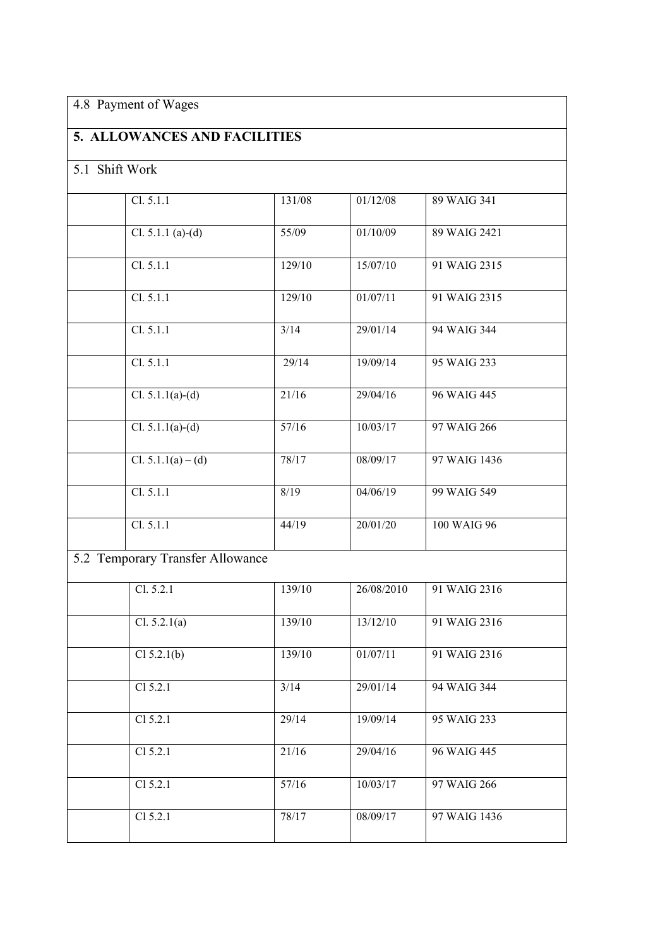# 4.8 Payment of Wages

# **5. ALLOWANCES AND FACILITIES**

# 5.1 Shift Work

| Cl. 5.1.1                        | 131/08 | 01/12/08   | 89 WAIG 341  |
|----------------------------------|--------|------------|--------------|
| Cl. 5.1.1 (a)-(d)                | 55/09  | 01/10/09   | 89 WAIG 2421 |
| Cl. 5.1.1                        | 129/10 | 15/07/10   | 91 WAIG 2315 |
| Cl. 5.1.1                        | 129/10 | 01/07/11   | 91 WAIG 2315 |
| Cl. 5.1.1                        | 3/14   | 29/01/14   | 94 WAIG 344  |
| Cl. 5.1.1                        | 29/14  | 19/09/14   | 95 WAIG 233  |
| Cl. 5.1.1( $\overline{a}$ )-(d)  | 21/16  | 29/04/16   | 96 WAIG 445  |
| Cl. $5.1.1(a)-(d)$               | 57/16  | 10/03/17   | 97 WAIG 266  |
| Cl. $5.1.1(a) - (d)$             | 78/17  | 08/09/17   | 97 WAIG 1436 |
| Cl. 5.1.1                        | 8/19   | 04/06/19   | 99 WAIG 549  |
| Cl. 5.1.1                        | 44/19  | 20/01/20   | 100 WAIG 96  |
| 5.2 Temporary Transfer Allowance |        |            |              |
| Cl. 5.2.1                        | 139/10 | 26/08/2010 | 91 WAIG 2316 |
| Cl. 5.2.1(a)                     | 139/10 | 13/12/10   | 91 WAIG 2316 |
| Cl 5.2.1(b)                      | 139/10 | 01/07/11   | 91 WAIG 2316 |
| Cl 5.2.1                         | 3/14   | 29/01/14   | 94 WAIG 344  |
| Cl 5.2.1                         | 29/14  | 19/09/14   | 95 WAIG 233  |
| Cl 5.2.1                         | 21/16  | 29/04/16   | 96 WAIG 445  |
| Cl 5.2.1                         | 57/16  | 10/03/17   | 97 WAIG 266  |

Cl 5.2.1 78/17 08/09/17 97 WAIG 1436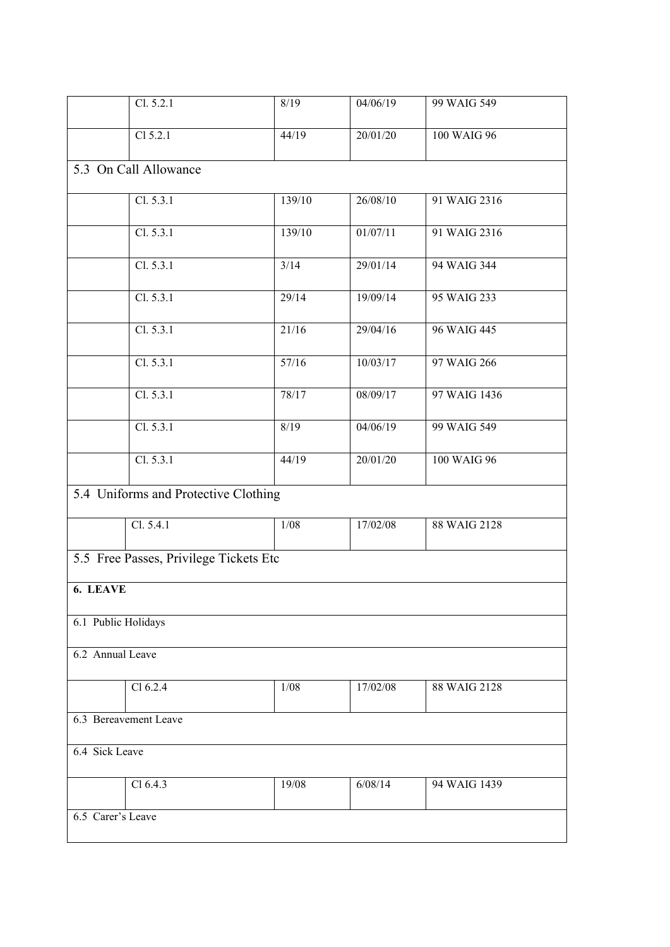|                                        | Cl. 5.2.1                            | 8/19   | 04/06/19 | 99 WAIG 549  |  |
|----------------------------------------|--------------------------------------|--------|----------|--------------|--|
|                                        | Cl 5.2.1                             | 44/19  | 20/01/20 | 100 WAIG 96  |  |
|                                        | 5.3 On Call Allowance                |        |          |              |  |
|                                        | Cl. 5.3.1                            | 139/10 | 26/08/10 | 91 WAIG 2316 |  |
|                                        | Cl. 5.3.1                            | 139/10 | 01/07/11 | 91 WAIG 2316 |  |
|                                        | Cl. 5.3.1                            | 3/14   | 29/01/14 | 94 WAIG 344  |  |
|                                        | Cl. 5.3.1                            | 29/14  | 19/09/14 | 95 WAIG 233  |  |
|                                        | Cl. 5.3.1                            | 21/16  | 29/04/16 | 96 WAIG 445  |  |
|                                        | Cl. 5.3.1                            | 57/16  | 10/03/17 | 97 WAIG 266  |  |
|                                        | Cl. 5.3.1                            | 78/17  | 08/09/17 | 97 WAIG 1436 |  |
|                                        | Cl. 5.3.1                            | 8/19   | 04/06/19 | 99 WAIG 549  |  |
|                                        | Cl. 5.3.1                            | 44/19  | 20/01/20 | 100 WAIG 96  |  |
|                                        | 5.4 Uniforms and Protective Clothing |        |          |              |  |
|                                        | Cl. 5.4.1                            | $1/08$ | 17/02/08 | 88 WAIG 2128 |  |
| 5.5 Free Passes, Privilege Tickets Etc |                                      |        |          |              |  |
| 6. LEAVE                               |                                      |        |          |              |  |
| 6.1 Public Holidays                    |                                      |        |          |              |  |
| 6.2 Annual Leave                       |                                      |        |          |              |  |
|                                        | Cl 6.2.4                             | 1/08   | 17/02/08 | 88 WAIG 2128 |  |
| 6.3 Bereavement Leave                  |                                      |        |          |              |  |
| 6.4 Sick Leave                         |                                      |        |          |              |  |
|                                        | Cl 6.4.3                             | 19/08  | 6/08/14  | 94 WAIG 1439 |  |
| 6.5 Carer's Leave                      |                                      |        |          |              |  |